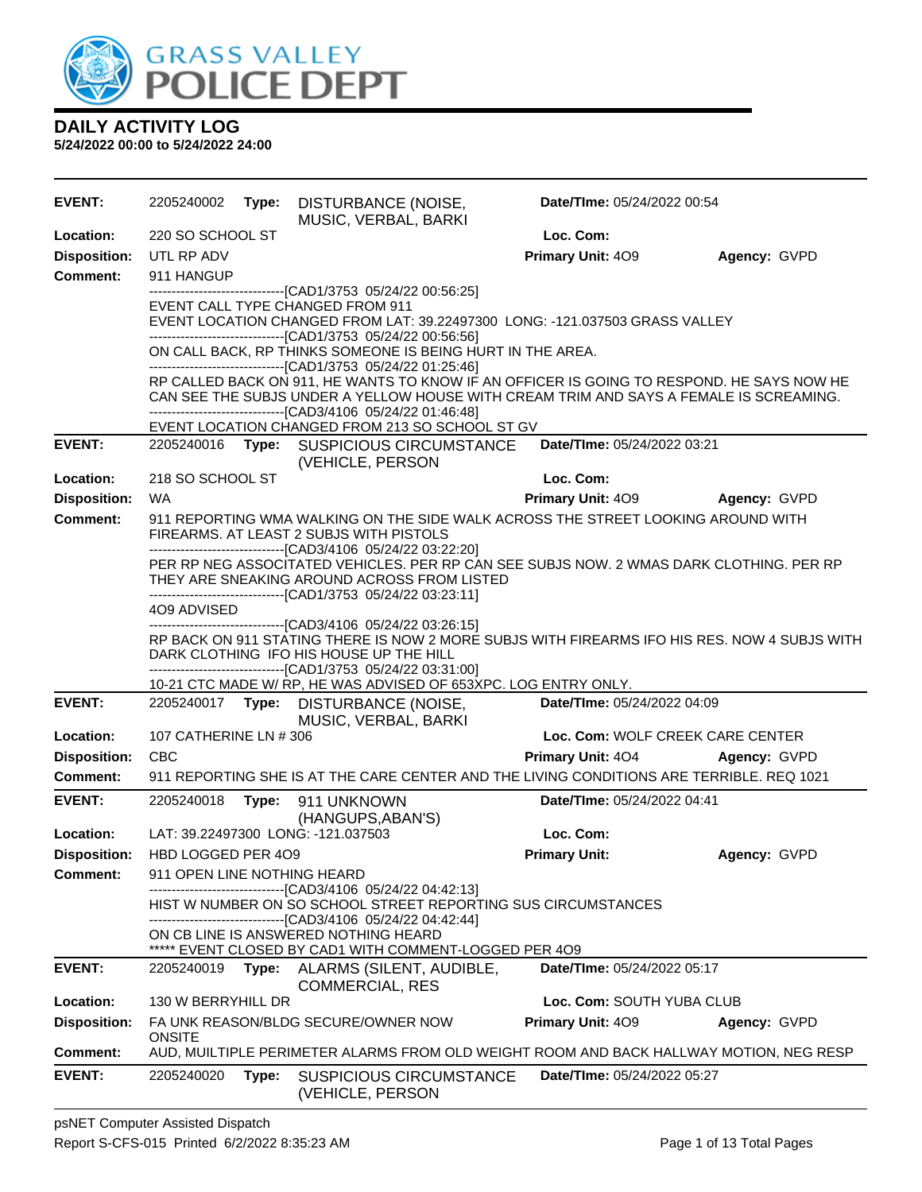

| <b>EVENT:</b>       | 2205240002                  | Type: | DISTURBANCE (NOISE,<br>MUSIC, VERBAL, BARKI                                                                                                                                                                                                                           |                          | Date/TIme: 05/24/2022 00:54      |              |
|---------------------|-----------------------------|-------|-----------------------------------------------------------------------------------------------------------------------------------------------------------------------------------------------------------------------------------------------------------------------|--------------------------|----------------------------------|--------------|
| Location:           | 220 SO SCHOOL ST            |       |                                                                                                                                                                                                                                                                       | Loc. Com:                |                                  |              |
| <b>Disposition:</b> | UTL RP ADV                  |       |                                                                                                                                                                                                                                                                       | Primary Unit: 409        |                                  | Agency: GVPD |
| <b>Comment:</b>     | 911 HANGUP                  |       |                                                                                                                                                                                                                                                                       |                          |                                  |              |
|                     |                             |       | -------------------------------[CAD1/3753 05/24/22 00:56:25]<br>EVENT CALL TYPE CHANGED FROM 911<br>EVENT LOCATION CHANGED FROM LAT: 39.22497300 LONG: -121.037503 GRASS VALLEY                                                                                       |                          |                                  |              |
|                     |                             |       | -------------------------------[CAD1/3753 05/24/22 00:56:56]<br>ON CALL BACK, RP THINKS SOMEONE IS BEING HURT IN THE AREA.<br>-------------------------------[CAD1/3753 05/24/22 01:25:46]                                                                            |                          |                                  |              |
|                     |                             |       | RP CALLED BACK ON 911, HE WANTS TO KNOW IF AN OFFICER IS GOING TO RESPOND. HE SAYS NOW HE<br>CAN SEE THE SUBJS UNDER A YELLOW HOUSE WITH CREAM TRIM AND SAYS A FEMALE IS SCREAMING.                                                                                   |                          |                                  |              |
|                     |                             |       | -------------------------------[CAD3/4106 05/24/22 01:46:48]<br>EVENT LOCATION CHANGED FROM 213 SO SCHOOL ST GV                                                                                                                                                       |                          |                                  |              |
| <b>EVENT:</b>       |                             |       | 2205240016 Type: SUSPICIOUS CIRCUMSTANCE<br>(VEHICLE, PERSON                                                                                                                                                                                                          |                          | Date/TIme: 05/24/2022 03:21      |              |
| Location:           | 218 SO SCHOOL ST            |       |                                                                                                                                                                                                                                                                       | Loc. Com:                |                                  |              |
| <b>Disposition:</b> | <b>WA</b>                   |       |                                                                                                                                                                                                                                                                       | <b>Primary Unit: 409</b> |                                  | Agency: GVPD |
| <b>Comment:</b>     |                             |       | 911 REPORTING WMA WALKING ON THE SIDE WALK ACROSS THE STREET LOOKING AROUND WITH<br>FIREARMS. AT LEAST 2 SUBJS WITH PISTOLS                                                                                                                                           |                          |                                  |              |
|                     |                             |       | ------------------------------[CAD3/4106 05/24/22 03:22:20]<br>PER RP NEG ASSOCITATED VEHICLES. PER RP CAN SEE SUBJS NOW. 2 WMAS DARK CLOTHING. PER RP<br>THEY ARE SNEAKING AROUND ACROSS FROM LISTED<br>-------------------------------[CAD1/3753_05/24/22_03:23:11] |                          |                                  |              |
|                     | 4O9 ADVISED                 |       |                                                                                                                                                                                                                                                                       |                          |                                  |              |
|                     |                             |       | ----------------------------[CAD3/4106_05/24/22 03:26:15]<br>RP BACK ON 911 STATING THERE IS NOW 2 MORE SUBJS WITH FIREARMS IFO HIS RES. NOW 4 SUBJS WITH<br>DARK CLOTHING IFO HIS HOUSE UP THE HILL                                                                  |                          |                                  |              |
|                     |                             |       | -------------------------------[CAD1/3753 05/24/22 03:31:00]<br>10-21 CTC MADE W/ RP, HE WAS ADVISED OF 653XPC. LOG ENTRY ONLY.                                                                                                                                       |                          |                                  |              |
| <b>EVENT:</b>       |                             |       | 2205240017 Type: DISTURBANCE (NOISE,<br>MUSIC, VERBAL, BARKI                                                                                                                                                                                                          |                          | Date/TIme: 05/24/2022 04:09      |              |
| Location:           | 107 CATHERINE LN # 306      |       |                                                                                                                                                                                                                                                                       |                          | Loc. Com: WOLF CREEK CARE CENTER |              |
| <b>Disposition:</b> | <b>CBC</b>                  |       |                                                                                                                                                                                                                                                                       | <b>Primary Unit: 404</b> |                                  | Agency: GVPD |
| Comment:            |                             |       | 911 REPORTING SHE IS AT THE CARE CENTER AND THE LIVING CONDITIONS ARE TERRIBLE. REQ 1021                                                                                                                                                                              |                          |                                  |              |
| <b>EVENT:</b>       | 2205240018                  |       | Type: 911 UNKNOWN<br>(HANGUPS, ABAN'S)                                                                                                                                                                                                                                |                          | Date/TIme: 05/24/2022 04:41      |              |
| Location:           |                             |       | LAT: 39.22497300 LONG: -121.037503                                                                                                                                                                                                                                    | Loc. Com:                |                                  |              |
| <b>Disposition:</b> | HBD LOGGED PER 409          |       |                                                                                                                                                                                                                                                                       | <b>Primary Unit:</b>     |                                  | Agency: GVPD |
| <b>Comment:</b>     | 911 OPEN LINE NOTHING HEARD |       | -----------------------[CAD3/4106 05/24/22 04:42:13]                                                                                                                                                                                                                  |                          |                                  |              |
|                     |                             |       | HIST W NUMBER ON SO SCHOOL STREET REPORTING SUS CIRCUMSTANCES<br>------------------------------[CAD3/4106 05/24/22 04:42:44]                                                                                                                                          |                          |                                  |              |
|                     |                             |       | ON CB LINE IS ANSWERED NOTHING HEARD<br>***** EVENT CLOSED BY CAD1 WITH COMMENT-LOGGED PER 4O9                                                                                                                                                                        |                          |                                  |              |
| <b>EVENT:</b>       | 2205240019                  | Type: | ALARMS (SILENT, AUDIBLE,<br><b>COMMERCIAL, RES</b>                                                                                                                                                                                                                    |                          | Date/TIme: 05/24/2022 05:17      |              |
| Location:           | 130 W BERRYHILL DR          |       |                                                                                                                                                                                                                                                                       |                          | Loc. Com: SOUTH YUBA CLUB        |              |
| <b>Disposition:</b> | <b>ONSITE</b>               |       | FA UNK REASON/BLDG SECURE/OWNER NOW                                                                                                                                                                                                                                   | <b>Primary Unit: 409</b> |                                  | Agency: GVPD |
| Comment:            |                             |       | AUD, MUILTIPLE PERIMETER ALARMS FROM OLD WEIGHT ROOM AND BACK HALLWAY MOTION, NEG RESP                                                                                                                                                                                |                          |                                  |              |
| <b>EVENT:</b>       | 2205240020                  | Type: | <b>SUSPICIOUS CIRCUMSTANCE</b><br>(VEHICLE, PERSON                                                                                                                                                                                                                    |                          | Date/TIme: 05/24/2022 05:27      |              |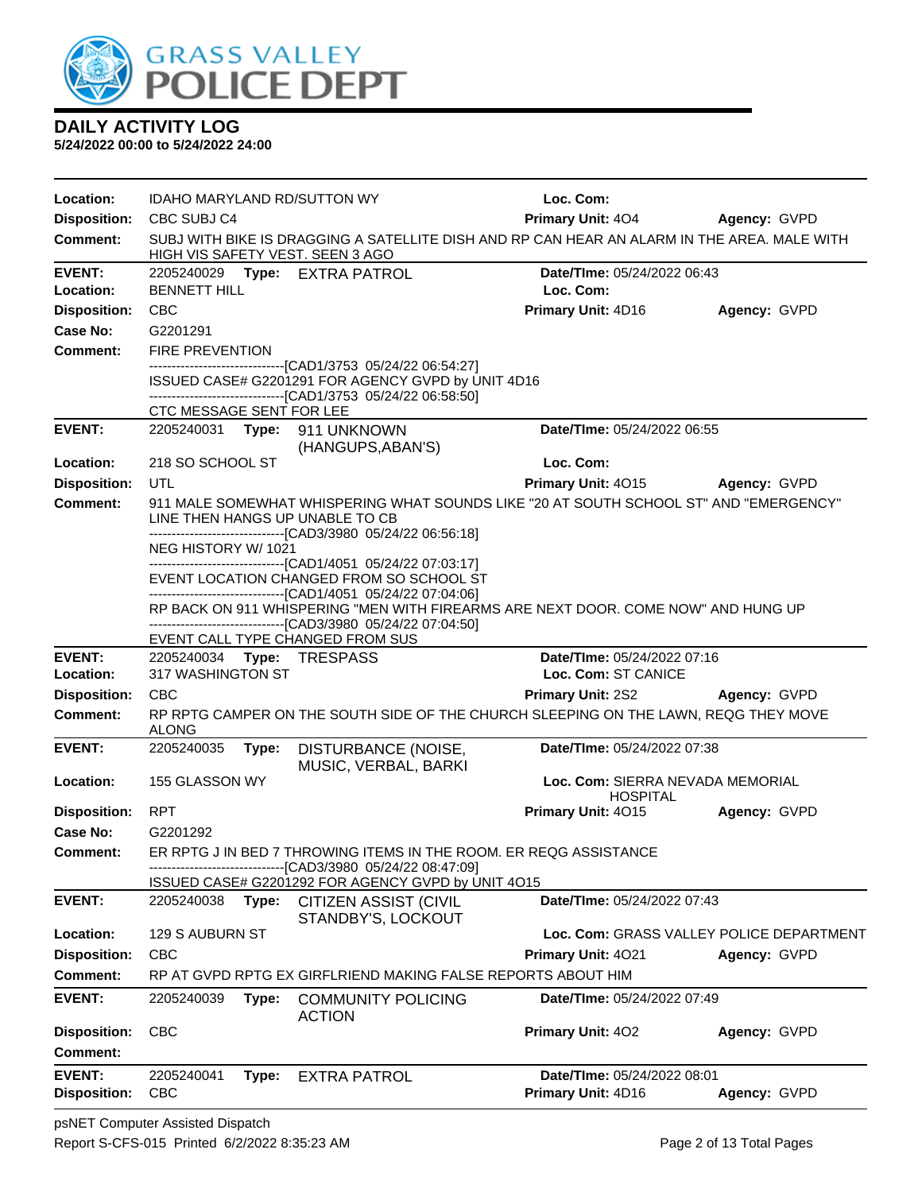

| Location:                            | <b>IDAHO MARYLAND RD/SUTTON WY</b> |                                                                                                                                                   | Loc. Com:                                           |                                          |
|--------------------------------------|------------------------------------|---------------------------------------------------------------------------------------------------------------------------------------------------|-----------------------------------------------------|------------------------------------------|
| <b>Disposition:</b>                  | CBC SUBJ C4                        |                                                                                                                                                   | <b>Primary Unit: 404</b>                            | Agency: GVPD                             |
| <b>Comment:</b>                      | HIGH VIS SAFETY VEST. SEEN 3 AGO   | SUBJ WITH BIKE IS DRAGGING A SATELLITE DISH AND RP CAN HEAR AN ALARM IN THE AREA. MALE WITH                                                       |                                                     |                                          |
| <b>EVENT:</b>                        | 2205240029 Type: EXTRA PATROL      |                                                                                                                                                   | Date/TIme: 05/24/2022 06:43                         |                                          |
| Location:                            | <b>BENNETT HILL</b>                |                                                                                                                                                   | Loc. Com:                                           |                                          |
| <b>Disposition:</b>                  | <b>CBC</b>                         |                                                                                                                                                   | Primary Unit: 4D16                                  | Agency: GVPD                             |
| Case No:                             | G2201291                           |                                                                                                                                                   |                                                     |                                          |
| <b>Comment:</b>                      | <b>FIRE PREVENTION</b>             |                                                                                                                                                   |                                                     |                                          |
|                                      |                                    | -------------------------------[CAD1/3753_05/24/22_06:54:27]<br>ISSUED CASE# G2201291 FOR AGENCY GVPD by UNIT 4D16                                |                                                     |                                          |
|                                      |                                    | ------------------------------[CAD1/3753 05/24/22 06:58:50]                                                                                       |                                                     |                                          |
|                                      | CTC MESSAGE SENT FOR LEE           |                                                                                                                                                   |                                                     |                                          |
| <b>EVENT:</b>                        | 2205240031 Type: 911 UNKNOWN       | (HANGUPS, ABAN'S)                                                                                                                                 | Date/TIme: 05/24/2022 06:55                         |                                          |
| Location:                            | 218 SO SCHOOL ST                   |                                                                                                                                                   | Loc. Com:                                           |                                          |
| <b>Disposition:</b>                  | UTL                                |                                                                                                                                                   | Primary Unit: 4015                                  | <b>Agency: GVPD</b>                      |
| <b>Comment:</b>                      | LINE THEN HANGS UP UNABLE TO CB    | 911 MALE SOMEWHAT WHISPERING WHAT SOUNDS LIKE "20 AT SOUTH SCHOOL ST" AND "EMERGENCY"                                                             |                                                     |                                          |
|                                      | NEG HISTORY W/1021                 | ---------------------------------[CAD3/3980 05/24/22 06:56:18]                                                                                    |                                                     |                                          |
|                                      |                                    | ------------------------------[CAD1/4051 05/24/22 07:03:17]                                                                                       |                                                     |                                          |
|                                      |                                    | EVENT LOCATION CHANGED FROM SO SCHOOL ST<br>-------------------------------[CAD1/4051 05/24/22 07:04:06]                                          |                                                     |                                          |
|                                      |                                    | RP BACK ON 911 WHISPERING "MEN WITH FIREARMS ARE NEXT DOOR. COME NOW" AND HUNG UP<br>-------------------------------[CAD3/3980 05/24/22 07:04:50] |                                                     |                                          |
|                                      | EVENT CALL TYPE CHANGED FROM SUS   |                                                                                                                                                   |                                                     |                                          |
|                                      |                                    |                                                                                                                                                   |                                                     |                                          |
| <b>EVENT:</b>                        | 2205240034 Type: TRESPASS          |                                                                                                                                                   | Date/TIme: 05/24/2022 07:16                         |                                          |
| Location:                            | 317 WASHINGTON ST                  |                                                                                                                                                   | Loc. Com: ST CANICE                                 |                                          |
| <b>Disposition:</b>                  | <b>CBC</b>                         |                                                                                                                                                   | <b>Primary Unit: 2S2</b>                            | Agency: GVPD                             |
| <b>Comment:</b>                      | <b>ALONG</b>                       | RP RPTG CAMPER ON THE SOUTH SIDE OF THE CHURCH SLEEPING ON THE LAWN, REQG THEY MOVE                                                               |                                                     |                                          |
| <b>EVENT:</b>                        | 2205240035<br>Type:                | DISTURBANCE (NOISE,                                                                                                                               | Date/TIme: 05/24/2022 07:38                         |                                          |
|                                      |                                    | MUSIC, VERBAL, BARKI                                                                                                                              |                                                     |                                          |
| Location:                            | 155 GLASSON WY                     |                                                                                                                                                   | Loc. Com: SIERRA NEVADA MEMORIAL<br><b>HOSPITAL</b> |                                          |
| <b>Disposition:</b>                  | <b>RPT</b>                         |                                                                                                                                                   | Primary Unit: 4015                                  | Agency: GVPD                             |
| Case No:                             | G2201292                           |                                                                                                                                                   |                                                     |                                          |
| <b>Comment:</b>                      |                                    | ER RPTG J IN BED 7 THROWING ITEMS IN THE ROOM. ER REQG ASSISTANCE                                                                                 |                                                     |                                          |
|                                      |                                    | --------------------------------[CAD3/3980 05/24/22 08:47:09]                                                                                     |                                                     |                                          |
| <b>EVENT:</b>                        | 2205240038<br>Type:                | ISSUED CASE# G2201292 FOR AGENCY GVPD by UNIT 4015<br><b>CITIZEN ASSIST (CIVIL</b><br>STANDBY'S, LOCKOUT                                          | Date/TIme: 05/24/2022 07:43                         |                                          |
| Location:                            | 129 S AUBURN ST                    |                                                                                                                                                   |                                                     | Loc. Com: GRASS VALLEY POLICE DEPARTMENT |
| <b>Disposition:</b>                  | <b>CBC</b>                         |                                                                                                                                                   | Primary Unit: 4021                                  | Agency: GVPD                             |
| <b>Comment:</b>                      |                                    | RP AT GVPD RPTG EX GIRFLRIEND MAKING FALSE REPORTS ABOUT HIM                                                                                      |                                                     |                                          |
| <b>EVENT:</b>                        | 2205240039<br>Type:                | <b>COMMUNITY POLICING</b><br><b>ACTION</b>                                                                                                        | Date/TIme: 05/24/2022 07:49                         |                                          |
| <b>Disposition:</b>                  | <b>CBC</b>                         |                                                                                                                                                   | Primary Unit: 402                                   | Agency: GVPD                             |
| <b>Comment:</b>                      |                                    |                                                                                                                                                   |                                                     |                                          |
| <b>EVENT:</b><br><b>Disposition:</b> | 2205240041<br>Type:<br><b>CBC</b>  | <b>EXTRA PATROL</b>                                                                                                                               | Date/TIme: 05/24/2022 08:01<br>Primary Unit: 4D16   | Agency: GVPD                             |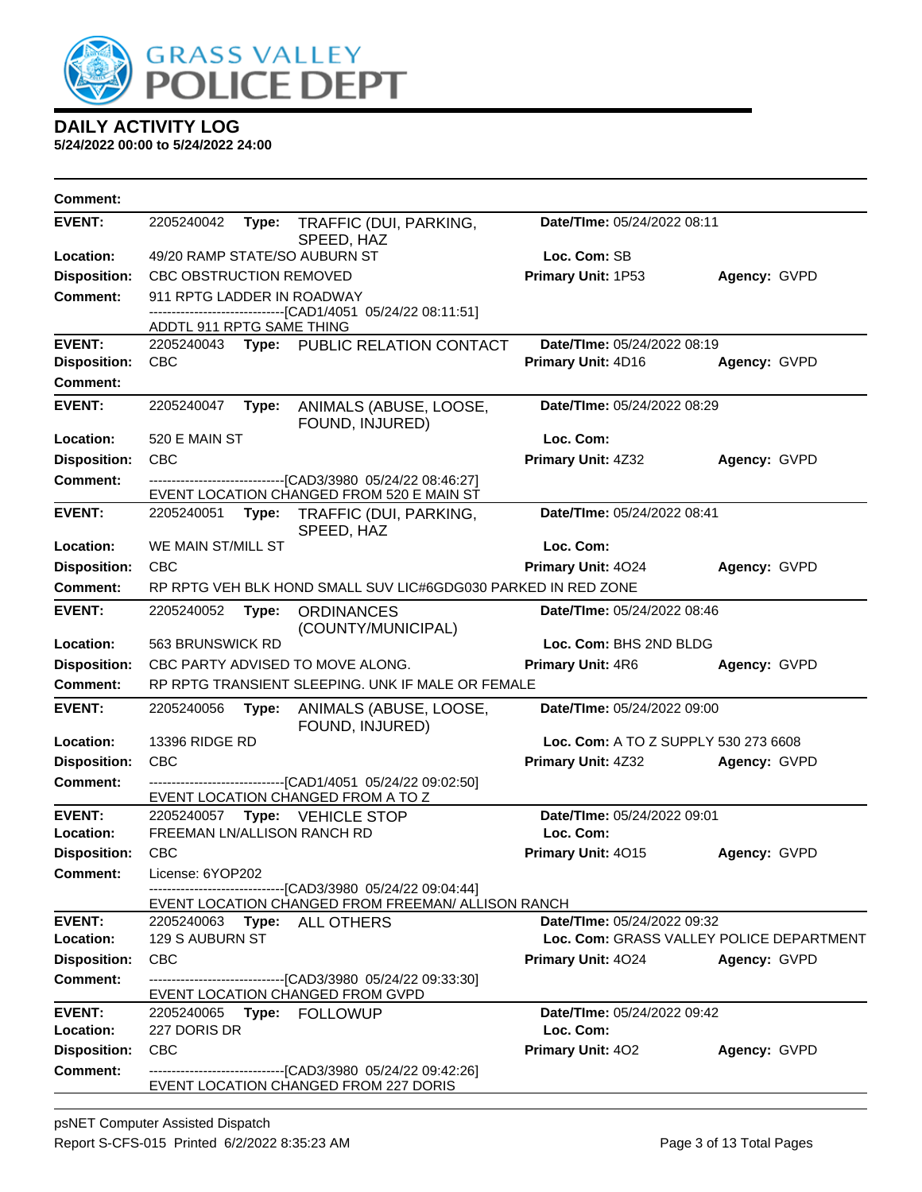

| <b>Comment:</b>     |                                    |                                                                                                                   |                                          |              |
|---------------------|------------------------------------|-------------------------------------------------------------------------------------------------------------------|------------------------------------------|--------------|
| <b>EVENT:</b>       | 2205240042<br>Type:                | TRAFFIC (DUI, PARKING,<br>SPEED, HAZ                                                                              | Date/TIme: 05/24/2022 08:11              |              |
| Location:           | 49/20 RAMP STATE/SO AUBURN ST      |                                                                                                                   | Loc. Com: SB                             |              |
| <b>Disposition:</b> | <b>CBC OBSTRUCTION REMOVED</b>     |                                                                                                                   | Primary Unit: 1P53                       | Agency: GVPD |
| <b>Comment:</b>     | 911 RPTG LADDER IN ROADWAY         |                                                                                                                   |                                          |              |
|                     | ADDTL 911 RPTG SAME THING          | --------------------[CAD1/4051_05/24/22 08:11:51]                                                                 |                                          |              |
| <b>EVENT:</b>       | 2205240043                         | Type: PUBLIC RELATION CONTACT                                                                                     | Date/TIme: 05/24/2022 08:19              |              |
| <b>Disposition:</b> | <b>CBC</b>                         |                                                                                                                   | Primary Unit: 4D16                       | Agency: GVPD |
| <b>Comment:</b>     |                                    |                                                                                                                   |                                          |              |
| <b>EVENT:</b>       | 2205240047<br>Type:                | ANIMALS (ABUSE, LOOSE,<br>FOUND, INJURED)                                                                         | Date/TIme: 05/24/2022 08:29              |              |
| Location:           | 520 E MAIN ST                      |                                                                                                                   | Loc. Com:                                |              |
| <b>Disposition:</b> | <b>CBC</b>                         |                                                                                                                   | Primary Unit: 4Z32                       | Agency: GVPD |
| <b>Comment:</b>     |                                    | -------------------------------[CAD3/3980 05/24/22 08:46:27]                                                      |                                          |              |
|                     |                                    | EVENT LOCATION CHANGED FROM 520 E MAIN ST                                                                         |                                          |              |
| <b>EVENT:</b>       | 2205240051<br>Type:                | TRAFFIC (DUI, PARKING,<br>SPEED, HAZ                                                                              | Date/TIme: 05/24/2022 08:41              |              |
| Location:           | WE MAIN ST/MILL ST                 |                                                                                                                   | Loc. Com:                                |              |
| <b>Disposition:</b> | <b>CBC</b>                         |                                                                                                                   | Primary Unit: 4024                       | Agency: GVPD |
| Comment:            |                                    | RP RPTG VEH BLK HOND SMALL SUV LIC#6GDG030 PARKED IN RED ZONE                                                     |                                          |              |
| <b>EVENT:</b>       | 2205240052<br>Type:                | <b>ORDINANCES</b><br>(COUNTY/MUNICIPAL)                                                                           | Date/TIme: 05/24/2022 08:46              |              |
| Location:           | 563 BRUNSWICK RD                   |                                                                                                                   | Loc. Com: BHS 2ND BLDG                   |              |
| <b>Disposition:</b> | CBC PARTY ADVISED TO MOVE ALONG.   |                                                                                                                   | Primary Unit: 4R6                        | Agency: GVPD |
| <b>Comment:</b>     |                                    | RP RPTG TRANSIENT SLEEPING. UNK IF MALE OR FEMALE                                                                 |                                          |              |
| <b>EVENT:</b>       | 2205240056<br>Type:                | ANIMALS (ABUSE, LOOSE,<br>FOUND, INJURED)                                                                         | Date/TIme: 05/24/2022 09:00              |              |
| Location:           | <b>13396 RIDGE RD</b>              |                                                                                                                   | Loc. Com: A TO Z SUPPLY 530 273 6608     |              |
| <b>Disposition:</b> | <b>CBC</b>                         |                                                                                                                   | Primary Unit: 4Z32                       | Agency: GVPD |
| <b>Comment:</b>     |                                    | -------------------------[CAD1/4051_05/24/22 09:02:50]<br>EVENT LOCATION CHANGED FROM A TO Z                      |                                          |              |
| <b>EVENT:</b>       | 2205240057 Type: VEHICLE STOP      |                                                                                                                   | Date/TIme: 05/24/2022 09:01              |              |
| Location:           | <b>FREEMAN LN/ALLISON RANCH RD</b> |                                                                                                                   | Loc. Com:                                |              |
| <b>Disposition:</b> | <b>CBC</b>                         |                                                                                                                   | Primary Unit: 4015                       | Agency: GVPD |
| <b>Comment:</b>     | License: 6YOP202                   |                                                                                                                   |                                          |              |
|                     |                                    | ------------------------------[CAD3/3980_05/24/22 09:04:44]<br>EVENT LOCATION CHANGED FROM FREEMAN/ ALLISON RANCH |                                          |              |
| <b>EVENT:</b>       | 2205240063 Type: ALL OTHERS        |                                                                                                                   | Date/TIme: 05/24/2022 09:32              |              |
| <b>Location:</b>    | 129 S AUBURN ST                    |                                                                                                                   | Loc. Com: GRASS VALLEY POLICE DEPARTMENT |              |
| <b>Disposition:</b> | <b>CBC</b>                         |                                                                                                                   | <b>Primary Unit: 4024</b>                | Agency: GVPD |
| Comment:            | EVENT LOCATION CHANGED FROM GVPD   | --------------------------------[CAD3/3980 05/24/22 09:33:30]                                                     |                                          |              |
| <b>EVENT:</b>       |                                    |                                                                                                                   | Date/TIme: 05/24/2022 09:42              |              |
| Location:           | 227 DORIS DR                       |                                                                                                                   | Loc. Com:                                |              |
| <b>Disposition:</b> | <b>CBC</b>                         |                                                                                                                   | <b>Primary Unit: 402</b>                 | Agency: GVPD |
| Comment:            |                                    | -------------------------------[CAD3/3980_05/24/22_09:42:26]<br>EVENT LOCATION CHANGED FROM 227 DORIS             |                                          |              |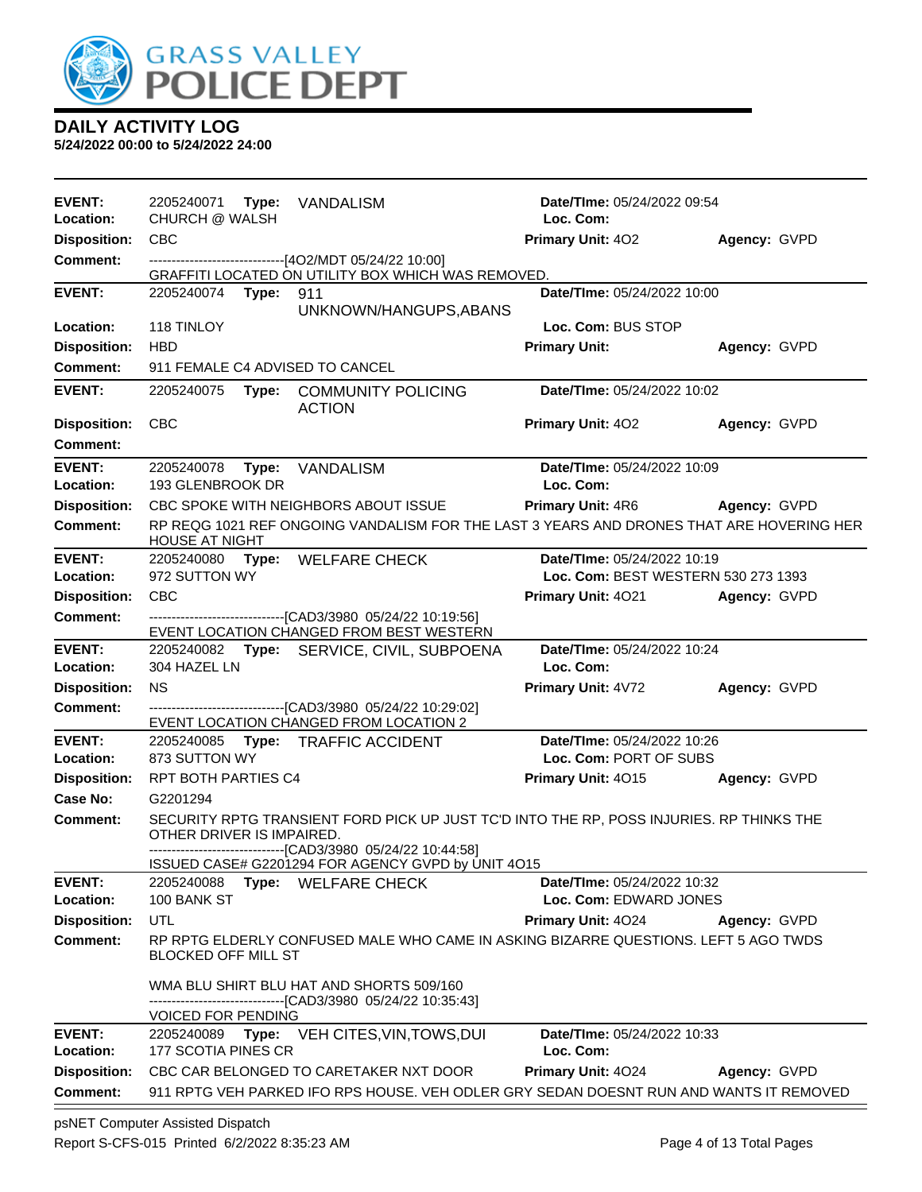

**5/24/2022 00:00 to 5/24/2022 24:00**

| <b>EVENT:</b><br>Location:      | 2205240071 Type: VANDALISM<br><b>CHURCH @ WALSH</b> |                                                                                                                                                          | Date/TIme: 05/24/2022 09:54<br>Loc. Com:              |              |
|---------------------------------|-----------------------------------------------------|----------------------------------------------------------------------------------------------------------------------------------------------------------|-------------------------------------------------------|--------------|
| <b>Disposition:</b>             | <b>CBC</b>                                          |                                                                                                                                                          | <b>Primary Unit: 402</b>                              | Agency: GVPD |
| <b>Comment:</b>                 |                                                     | -------------------------------[4O2/MDT 05/24/22 10:00]                                                                                                  |                                                       |              |
|                                 |                                                     | GRAFFITI LOCATED ON UTILITY BOX WHICH WAS REMOVED.                                                                                                       |                                                       |              |
| <b>EVENT:</b>                   | 2205240074 Type:                                    | 911                                                                                                                                                      | Date/TIme: 05/24/2022 10:00                           |              |
| Location:                       | 118 TINLOY                                          | UNKNOWN/HANGUPS, ABANS                                                                                                                                   | Loc. Com: BUS STOP                                    |              |
| <b>Disposition:</b>             | HBD                                                 |                                                                                                                                                          | <b>Primary Unit:</b>                                  | Agency: GVPD |
| <b>Comment:</b>                 | 911 FEMALE C4 ADVISED TO CANCEL                     |                                                                                                                                                          |                                                       |              |
| <b>EVENT:</b>                   | 2205240075                                          | Type: COMMUNITY POLICING<br><b>ACTION</b>                                                                                                                | Date/TIme: 05/24/2022 10:02                           |              |
| <b>Disposition:</b>             | <b>CBC</b>                                          |                                                                                                                                                          | <b>Primary Unit: 402</b>                              | Agency: GVPD |
| <b>Comment:</b>                 |                                                     |                                                                                                                                                          |                                                       |              |
| <b>EVENT:</b>                   | 2205240078 Type: VANDALISM                          |                                                                                                                                                          | Date/TIme: 05/24/2022 10:09                           |              |
| <b>Location:</b>                | 193 GLENBROOK DR                                    |                                                                                                                                                          | Loc. Com:                                             |              |
| <b>Disposition:</b>             |                                                     | CBC SPOKE WITH NEIGHBORS ABOUT ISSUE                                                                                                                     | <b>Primary Unit: 4R6 Agency: GVPD</b>                 |              |
| <b>Comment:</b>                 | <b>HOUSE AT NIGHT</b>                               | RP REQG 1021 REF ONGOING VANDALISM FOR THE LAST 3 YEARS AND DRONES THAT ARE HOVERING HER                                                                 |                                                       |              |
| <b>EVENT:</b>                   | 2205240080 Type: WELFARE CHECK                      |                                                                                                                                                          | Date/TIme: 05/24/2022 10:19                           |              |
| <b>Location:</b>                | 972 SUTTON WY                                       |                                                                                                                                                          | Loc. Com: BEST WESTERN 530 273 1393                   |              |
| <b>Disposition:</b>             | <b>CBC</b>                                          |                                                                                                                                                          | <b>Primary Unit: 4021</b>                             | Agency: GVPD |
| <b>Comment:</b>                 |                                                     | ---------------------------------[CAD3/3980 05/24/22 10:19:56]<br>EVENT LOCATION CHANGED FROM BEST WESTERN                                               |                                                       |              |
| <b>EVENT:</b>                   |                                                     | 2205240082 Type: SERVICE, CIVIL, SUBPOENA                                                                                                                | Date/TIme: 05/24/2022 10:24                           |              |
| Location:                       | 304 HAZEL LN<br><b>NS</b>                           |                                                                                                                                                          | Loc. Com:                                             |              |
| <b>Disposition:</b><br>Comment: |                                                     | ---------------------------------[CAD3/3980 05/24/22 10:29:02]                                                                                           | Primary Unit: 4V72                                    | Agency: GVPD |
|                                 |                                                     | EVENT LOCATION CHANGED FROM LOCATION 2                                                                                                                   |                                                       |              |
| <b>EVENT:</b><br>Location:      | 873 SUTTON WY                                       | 2205240085 Type: TRAFFIC ACCIDENT                                                                                                                        | Date/TIme: 05/24/2022 10:26<br>Loc. Com: PORT OF SUBS |              |
| <b>Disposition:</b>             | RPT BOTH PARTIES C4                                 |                                                                                                                                                          | <b>Primary Unit: 4015</b>                             | Agency: GVPD |
| Case No:                        | G2201294                                            |                                                                                                                                                          |                                                       |              |
| <b>Comment:</b>                 | OTHER DRIVER IS IMPAIRED.                           | SECURITY RPTG TRANSIENT FORD PICK UP JUST TC'D INTO THE RP, POSS INJURIES. RP THINKS THE<br>-------------------------------[CAD3/3980 05/24/22 10:44:58] |                                                       |              |
|                                 |                                                     | ISSUED CASE# G2201294 FOR AGENCY GVPD by UNIT 4O15                                                                                                       |                                                       |              |
| <b>EVENT:</b>                   | 2205240088<br>Type:                                 | <b>WELFARE CHECK</b>                                                                                                                                     | Date/TIme: 05/24/2022 10:32                           |              |
| Location:                       | 100 BANK ST                                         |                                                                                                                                                          | Loc. Com: EDWARD JONES                                |              |
| <b>Disposition:</b>             | UTL                                                 |                                                                                                                                                          | Primary Unit: 4024                                    | Agency: GVPD |
| <b>Comment:</b>                 | <b>BLOCKED OFF MILL ST</b>                          | RP RPTG ELDERLY CONFUSED MALE WHO CAME IN ASKING BIZARRE QUESTIONS. LEFT 5 AGO TWDS                                                                      |                                                       |              |
|                                 |                                                     | WMA BLU SHIRT BLU HAT AND SHORTS 509/160<br>-------------------------------[CAD3/3980 05/24/22 10:35:43]                                                 |                                                       |              |
| <b>EVENT:</b>                   | <b>VOICED FOR PENDING</b>                           | 2205240089 Type: VEH CITES, VIN, TOWS, DUI                                                                                                               | Date/TIme: 05/24/2022 10:33                           |              |
| Location:                       | 177 SCOTIA PINES CR                                 |                                                                                                                                                          | Loc. Com:                                             |              |
| <b>Disposition:</b>             |                                                     | CBC CAR BELONGED TO CARETAKER NXT DOOR                                                                                                                   | Primary Unit: 4024                                    | Agency: GVPD |
| <b>Comment:</b>                 |                                                     | 911 RPTG VEH PARKED IFO RPS HOUSE. VEH ODLER GRY SEDAN DOESNT RUN AND WANTS IT REMOVED                                                                   |                                                       |              |

psNET Computer Assisted Dispatch Report S-CFS-015 Printed 6/2/2022 8:35:23 AM Page 4 of 13 Total Pages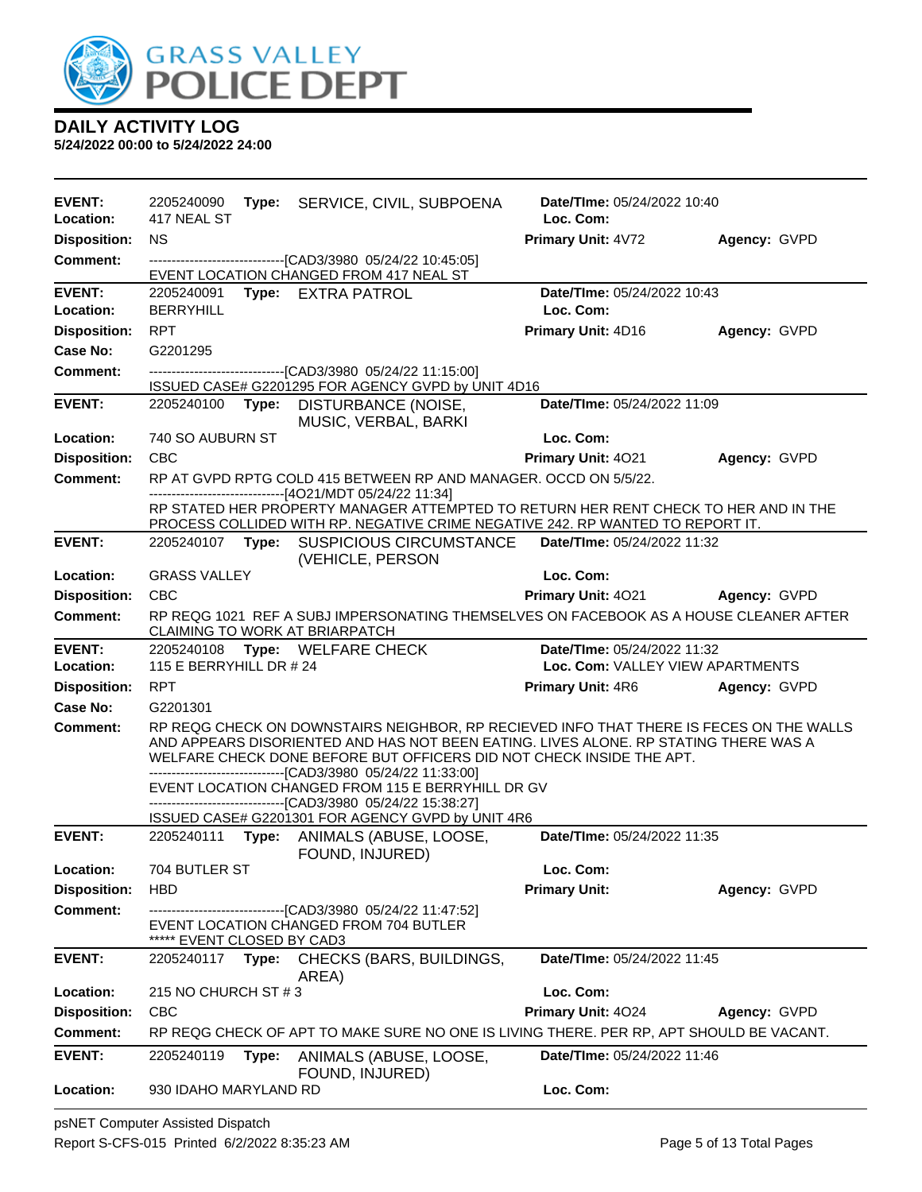

**5/24/2022 00:00 to 5/24/2022 24:00**

| <b>EVENT:</b><br>Location: | 2205240090<br>417 NEAL ST      |       | Type: SERVICE, CIVIL, SUBPOENA                                                                                                                                                                                                                                                                                           | Date/TIme: 05/24/2022 10:40<br>Loc. Com: |              |  |
|----------------------------|--------------------------------|-------|--------------------------------------------------------------------------------------------------------------------------------------------------------------------------------------------------------------------------------------------------------------------------------------------------------------------------|------------------------------------------|--------------|--|
| <b>Disposition:</b>        | <b>NS</b>                      |       |                                                                                                                                                                                                                                                                                                                          | <b>Primary Unit: 4V72</b>                | Agency: GVPD |  |
| <b>Comment:</b>            |                                |       | -------------------------------[CAD3/3980 05/24/22 10:45:05]                                                                                                                                                                                                                                                             |                                          |              |  |
|                            |                                |       | EVENT LOCATION CHANGED FROM 417 NEAL ST                                                                                                                                                                                                                                                                                  |                                          |              |  |
| <b>EVENT:</b><br>Location: | 2205240091<br><b>BERRYHILL</b> |       | Type: EXTRA PATROL                                                                                                                                                                                                                                                                                                       | Date/TIme: 05/24/2022 10:43<br>Loc. Com: |              |  |
| <b>Disposition:</b>        | <b>RPT</b>                     |       |                                                                                                                                                                                                                                                                                                                          | Primary Unit: 4D16                       | Agency: GVPD |  |
| Case No:                   | G2201295                       |       |                                                                                                                                                                                                                                                                                                                          |                                          |              |  |
| <b>Comment:</b>            |                                |       | --------------------------------[CAD3/3980 05/24/22 11:15:00]<br>ISSUED CASE# G2201295 FOR AGENCY GVPD by UNIT 4D16                                                                                                                                                                                                      |                                          |              |  |
| <b>EVENT:</b>              | 2205240100                     | Type: | DISTURBANCE (NOISE,<br>MUSIC, VERBAL, BARKI                                                                                                                                                                                                                                                                              | Date/TIme: 05/24/2022 11:09              |              |  |
| Location:                  | 740 SO AUBURN ST               |       |                                                                                                                                                                                                                                                                                                                          | Loc. Com:                                |              |  |
| <b>Disposition:</b>        | <b>CBC</b>                     |       |                                                                                                                                                                                                                                                                                                                          | Primary Unit: 4021                       | Agency: GVPD |  |
| <b>Comment:</b>            |                                |       | RP AT GVPD RPTG COLD 415 BETWEEN RP AND MANAGER. OCCD ON 5/5/22.                                                                                                                                                                                                                                                         |                                          |              |  |
|                            |                                |       | -------------------------------[4O21/MDT 05/24/22 11:34]<br>RP STATED HER PROPERTY MANAGER ATTEMPTED TO RETURN HER RENT CHECK TO HER AND IN THE<br>PROCESS COLLIDED WITH RP. NEGATIVE CRIME NEGATIVE 242. RP WANTED TO REPORT IT.                                                                                        |                                          |              |  |
| <b>EVENT:</b>              |                                |       | 2205240107 Type: SUSPICIOUS CIRCUMSTANCE<br>(VEHICLE, PERSON                                                                                                                                                                                                                                                             | Date/TIme: 05/24/2022 11:32              |              |  |
| Location:                  | <b>GRASS VALLEY</b>            |       |                                                                                                                                                                                                                                                                                                                          | Loc. Com:                                |              |  |
| <b>Disposition:</b>        | <b>CBC</b>                     |       |                                                                                                                                                                                                                                                                                                                          | Primary Unit: 4021                       | Agency: GVPD |  |
| <b>Comment:</b>            |                                |       | RP REQG 1021 REF A SUBJ IMPERSONATING THEMSELVES ON FACEBOOK AS A HOUSE CLEANER AFTER<br>CLAIMING TO WORK AT BRIARPATCH                                                                                                                                                                                                  |                                          |              |  |
| <b>EVENT:</b>              | 2205240108                     |       | Type: WELFARE CHECK                                                                                                                                                                                                                                                                                                      | Date/TIme: 05/24/2022 11:32              |              |  |
| Location:                  | 115 E BERRYHILL DR # 24        |       |                                                                                                                                                                                                                                                                                                                          | Loc. Com: VALLEY VIEW APARTMENTS         |              |  |
| <b>Disposition:</b>        | <b>RPT</b>                     |       |                                                                                                                                                                                                                                                                                                                          | <b>Primary Unit: 4R6</b>                 | Agency: GVPD |  |
| Case No:                   | G2201301                       |       |                                                                                                                                                                                                                                                                                                                          |                                          |              |  |
| Comment:                   |                                |       | RP REQG CHECK ON DOWNSTAIRS NEIGHBOR, RP RECIEVED INFO THAT THERE IS FECES ON THE WALLS<br>AND APPEARS DISORIENTED AND HAS NOT BEEN EATING. LIVES ALONE. RP STATING THERE WAS A<br>WELFARE CHECK DONE BEFORE BUT OFFICERS DID NOT CHECK INSIDE THE APT.<br>--------------------------------[CAD3/3980 05/24/22 11:33:00] |                                          |              |  |
|                            |                                |       | EVENT LOCATION CHANGED FROM 115 E BERRYHILL DR GV                                                                                                                                                                                                                                                                        |                                          |              |  |
|                            |                                |       | ------------------------------[CAD3/3980 05/24/22 15:38:27]<br>ISSUED CASE# G2201301 FOR AGENCY GVPD by UNIT 4R6                                                                                                                                                                                                         |                                          |              |  |
| <b>EVENT:</b>              |                                |       | 2205240111 Type: ANIMALS (ABUSE, LOOSE,<br>FOUND, INJURED)                                                                                                                                                                                                                                                               | Date/TIme: 05/24/2022 11:35              |              |  |
| Location:                  | 704 BUTLER ST                  |       |                                                                                                                                                                                                                                                                                                                          | Loc. Com:                                |              |  |
| <b>Disposition:</b>        | <b>HBD</b>                     |       |                                                                                                                                                                                                                                                                                                                          | <b>Primary Unit:</b>                     | Agency: GVPD |  |
| <b>Comment:</b>            |                                |       | ----------------------[CAD3/3980_05/24/22 11:47:52]                                                                                                                                                                                                                                                                      |                                          |              |  |
|                            | ***** EVENT CLOSED BY CAD3     |       | EVENT LOCATION CHANGED FROM 704 BUTLER                                                                                                                                                                                                                                                                                   |                                          |              |  |
| <b>EVENT:</b>              | 2205240117                     |       | Type: CHECKS (BARS, BUILDINGS,<br>AREA)                                                                                                                                                                                                                                                                                  | Date/TIme: 05/24/2022 11:45              |              |  |
| Location:                  | 215 NO CHURCH ST #3            |       |                                                                                                                                                                                                                                                                                                                          | Loc. Com:                                |              |  |
| <b>Disposition:</b>        | <b>CBC</b>                     |       |                                                                                                                                                                                                                                                                                                                          | Primary Unit: 4024                       | Agency: GVPD |  |
| <b>Comment:</b>            |                                |       | RP REQG CHECK OF APT TO MAKE SURE NO ONE IS LIVING THERE. PER RP, APT SHOULD BE VACANT.                                                                                                                                                                                                                                  |                                          |              |  |
| <b>EVENT:</b>              | 2205240119                     | Type: | ANIMALS (ABUSE, LOOSE,<br>FOUND, INJURED)                                                                                                                                                                                                                                                                                | <b>Date/TIme: 05/24/2022 11:46</b>       |              |  |
| Location:                  | 930 IDAHO MARYLAND RD          |       |                                                                                                                                                                                                                                                                                                                          | Loc. Com:                                |              |  |

psNET Computer Assisted Dispatch Report S-CFS-015 Printed 6/2/2022 8:35:23 AM Page 5 of 13 Total Pages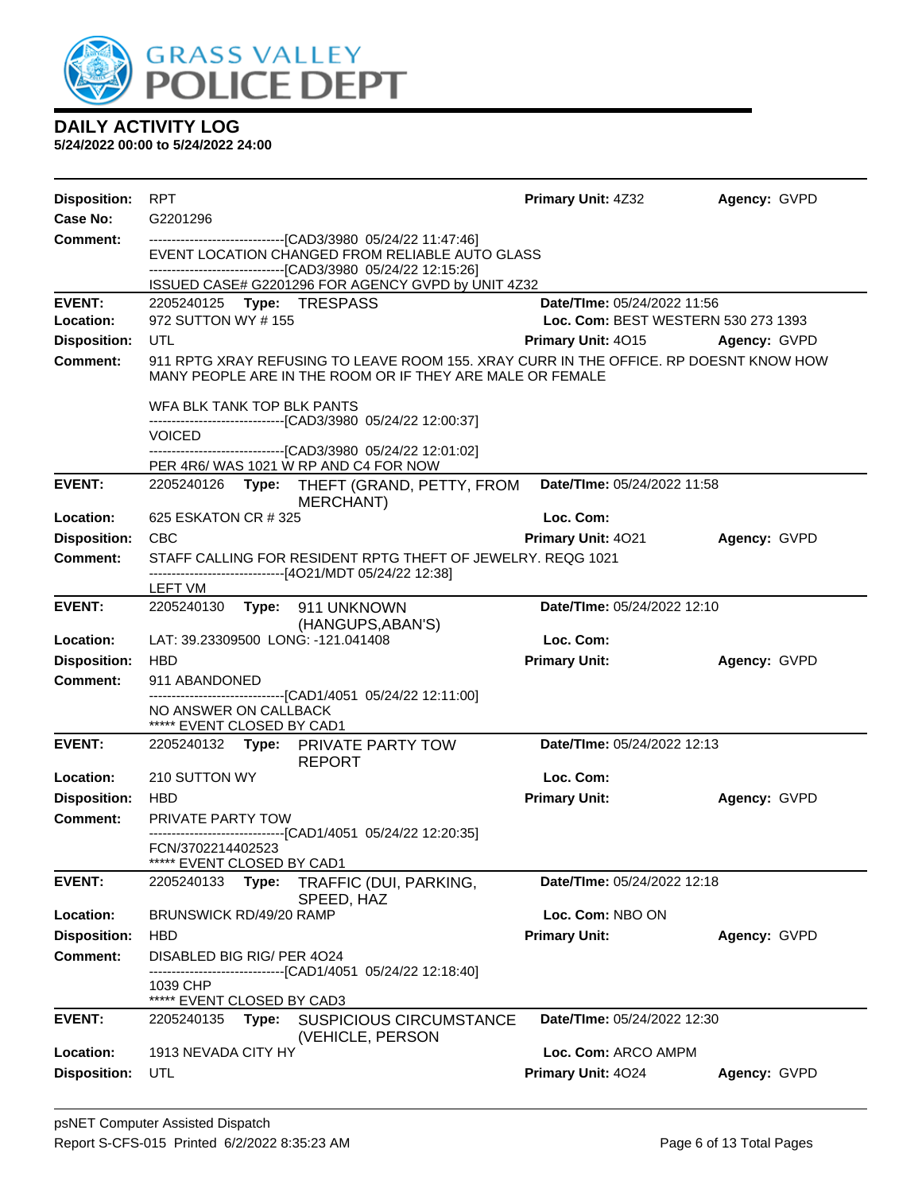

| <b>Disposition:</b> | RPT                                                                                                                                                                                                                                   | <b>Primary Unit: 4Z32</b>           | Agency: GVPD        |
|---------------------|---------------------------------------------------------------------------------------------------------------------------------------------------------------------------------------------------------------------------------------|-------------------------------------|---------------------|
| Case No:            | G2201296                                                                                                                                                                                                                              |                                     |                     |
| Comment:            | -------------------------------[CAD3/3980 05/24/22 11:47:46]<br>EVENT LOCATION CHANGED FROM RELIABLE AUTO GLASS<br>-------------------------------[CAD3/3980 05/24/22 12:15:26]<br>ISSUED CASE# G2201296 FOR AGENCY GVPD by UNIT 4Z32 |                                     |                     |
| <b>EVENT:</b>       | 2205240125 Type: TRESPASS                                                                                                                                                                                                             | Date/TIme: 05/24/2022 11:56         |                     |
| Location:           | 972 SUTTON WY #155                                                                                                                                                                                                                    | Loc. Com: BEST WESTERN 530 273 1393 |                     |
| <b>Disposition:</b> | UTL                                                                                                                                                                                                                                   | <b>Primary Unit: 4015</b>           | <b>Agency: GVPD</b> |
| <b>Comment:</b>     | 911 RPTG XRAY REFUSING TO LEAVE ROOM 155. XRAY CURR IN THE OFFICE. RP DOESNT KNOW HOW<br>MANY PEOPLE ARE IN THE ROOM OR IF THEY ARE MALE OR FEMALE                                                                                    |                                     |                     |
|                     | WFA BLK TANK TOP BLK PANTS<br>-------------------------------[CAD3/3980 05/24/22 12:00:37]                                                                                                                                            |                                     |                     |
|                     | <b>VOICED</b><br>--------------------------------[CAD3/3980 05/24/22 12:01:02]                                                                                                                                                        |                                     |                     |
|                     | PER 4R6/WAS 1021 W RP AND C4 FOR NOW                                                                                                                                                                                                  |                                     |                     |
| <b>EVENT:</b>       | 2205240126 Type: THEFT (GRAND, PETTY, FROM<br><b>MERCHANT</b> )                                                                                                                                                                       | Date/TIme: 05/24/2022 11:58         |                     |
| Location:           | 625 ESKATON CR # 325                                                                                                                                                                                                                  | Loc. Com:                           |                     |
| <b>Disposition:</b> | <b>CBC</b>                                                                                                                                                                                                                            | Primary Unit: 4021                  | Agency: GVPD        |
| <b>Comment:</b>     | STAFF CALLING FOR RESIDENT RPTG THEFT OF JEWELRY, REQG 1021<br>------------------------------[4O21/MDT 05/24/22 12:38]                                                                                                                |                                     |                     |
|                     | LEFT VM                                                                                                                                                                                                                               |                                     |                     |
| <b>EVENT:</b>       | 2205240130 Type: 911 UNKNOWN<br>(HANGUPS, ABAN'S)                                                                                                                                                                                     | Date/TIme: 05/24/2022 12:10         |                     |
| Location:           | LAT: 39.23309500 LONG: -121.041408                                                                                                                                                                                                    | Loc. Com:                           |                     |
| <b>Disposition:</b> | <b>HBD</b>                                                                                                                                                                                                                            | <b>Primary Unit:</b>                | Agency: GVPD        |
| <b>Comment:</b>     | 911 ABANDONED                                                                                                                                                                                                                         |                                     |                     |
|                     | -----------------------[CAD1/4051_05/24/22 12:11:00]<br>NO ANSWER ON CALLBACK<br>***** EVENT CLOSED BY CAD1                                                                                                                           |                                     |                     |
| <b>EVENT:</b>       | 2205240132 Type: PRIVATE PARTY TOW<br><b>REPORT</b>                                                                                                                                                                                   | Date/TIme: 05/24/2022 12:13         |                     |
| Location:           | 210 SUTTON WY                                                                                                                                                                                                                         | Loc. Com:                           |                     |
| <b>Disposition:</b> | <b>HBD</b>                                                                                                                                                                                                                            | <b>Primary Unit:</b>                | Agency: GVPD        |
| <b>Comment:</b>     | PRIVATE PARTY TOW                                                                                                                                                                                                                     |                                     |                     |
|                     | -------------------------------[CAD1/4051 05/24/22 12:20:35]<br>FCN/3702214402523<br>*****<br>EVENT CLOSED BY CAD1                                                                                                                    |                                     |                     |
| <b>EVENT:</b>       | 2205240133<br>Type:<br>TRAFFIC (DUI, PARKING,<br>SPEED, HAZ                                                                                                                                                                           | Date/TIme: 05/24/2022 12:18         |                     |
| Location:           | BRUNSWICK RD/49/20 RAMP                                                                                                                                                                                                               | Loc. Com: NBO ON                    |                     |
| <b>Disposition:</b> | <b>HBD</b>                                                                                                                                                                                                                            | <b>Primary Unit:</b>                | Agency: GVPD        |
| <b>Comment:</b>     | DISABLED BIG RIG/ PER 4024<br>-----------------[CAD1/4051_05/24/22 12:18:40]                                                                                                                                                          |                                     |                     |
|                     | 1039 CHP                                                                                                                                                                                                                              |                                     |                     |
| <b>EVENT:</b>       | ***** EVENT CLOSED BY CAD3<br><b>SUSPICIOUS CIRCUMSTANCE</b><br>2205240135<br>Type:<br>(VEHICLE, PERSON                                                                                                                               | Date/TIme: 05/24/2022 12:30         |                     |
| Location:           | 1913 NEVADA CITY HY                                                                                                                                                                                                                   | Loc. Com: ARCO AMPM                 |                     |
| <b>Disposition:</b> | UTL                                                                                                                                                                                                                                   | Primary Unit: 4024                  | Agency: GVPD        |
|                     |                                                                                                                                                                                                                                       |                                     |                     |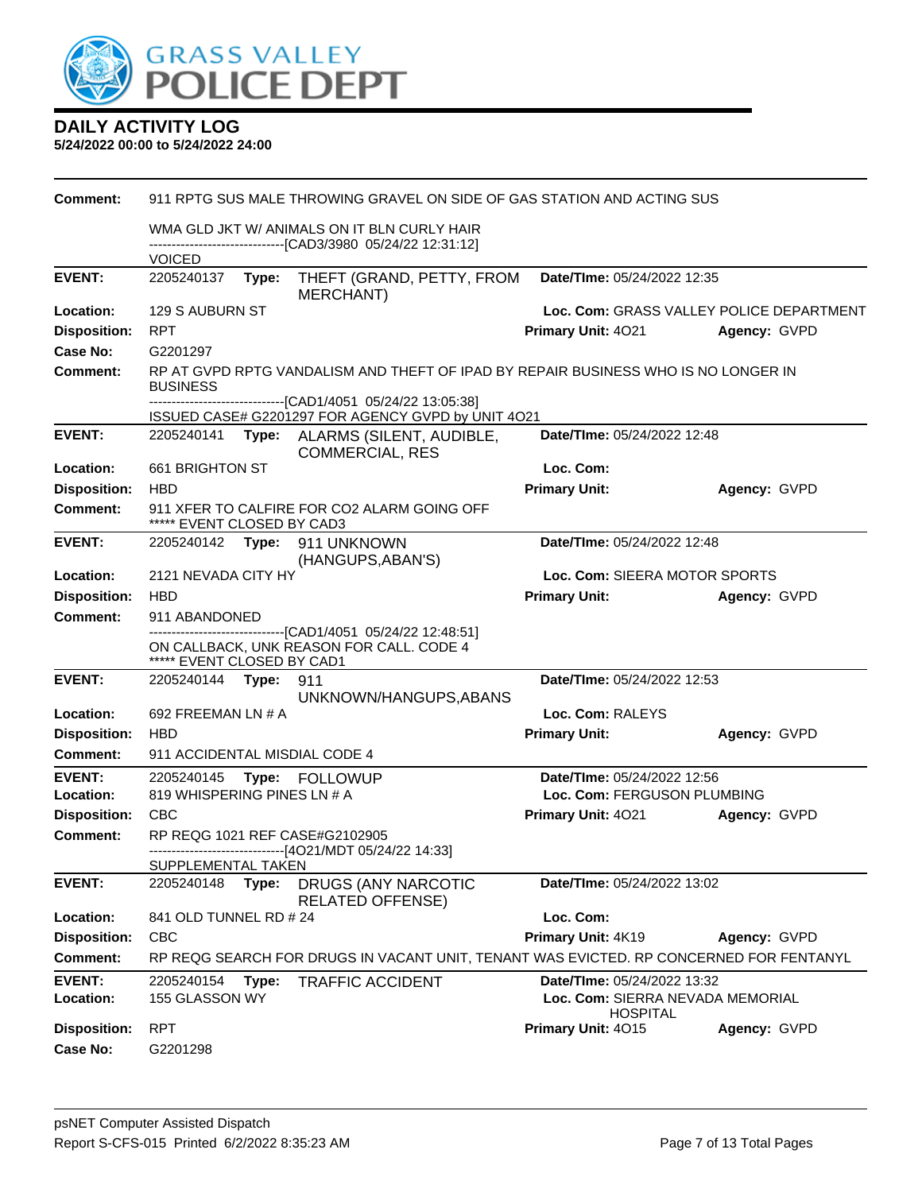

| Comment:                   | 911 RPTG SUS MALE THROWING GRAVEL ON SIDE OF GAS STATION AND ACTING SUS |                                                                                                            |                                                                                                                    |                                                                                    |              |  |  |  |
|----------------------------|-------------------------------------------------------------------------|------------------------------------------------------------------------------------------------------------|--------------------------------------------------------------------------------------------------------------------|------------------------------------------------------------------------------------|--------------|--|--|--|
|                            |                                                                         | WMA GLD JKT W/ ANIMALS ON IT BLN CURLY HAIR<br>------------------------------[CAD3/3980 05/24/22 12:31:12] |                                                                                                                    |                                                                                    |              |  |  |  |
|                            | <b>VOICED</b>                                                           |                                                                                                            |                                                                                                                    |                                                                                    |              |  |  |  |
| <b>EVENT:</b>              | 2205240137                                                              | Type:                                                                                                      | THEFT (GRAND, PETTY, FROM<br><b>MERCHANT)</b>                                                                      | Date/TIme: 05/24/2022 12:35                                                        |              |  |  |  |
| Location:                  | 129 S AUBURN ST                                                         |                                                                                                            |                                                                                                                    | Loc. Com: GRASS VALLEY POLICE DEPARTMENT                                           |              |  |  |  |
| <b>Disposition:</b>        | <b>RPT</b>                                                              |                                                                                                            |                                                                                                                    | Primary Unit: 4021                                                                 | Agency: GVPD |  |  |  |
| <b>Case No:</b>            | G2201297                                                                |                                                                                                            |                                                                                                                    |                                                                                    |              |  |  |  |
| Comment:                   | <b>BUSINESS</b>                                                         |                                                                                                            | RP AT GVPD RPTG VANDALISM AND THEFT OF IPAD BY REPAIR BUSINESS WHO IS NO LONGER IN                                 |                                                                                    |              |  |  |  |
|                            |                                                                         |                                                                                                            | -------------------------------[CAD1/4051 05/24/22 13:05:38]<br>ISSUED CASE# G2201297 FOR AGENCY GVPD by UNIT 4O21 |                                                                                    |              |  |  |  |
| <b>EVENT:</b>              |                                                                         |                                                                                                            | 2205240141 Type: ALARMS (SILENT, AUDIBLE,<br><b>COMMERCIAL, RES</b>                                                | Date/TIme: 05/24/2022 12:48                                                        |              |  |  |  |
| Location:                  | 661 BRIGHTON ST                                                         |                                                                                                            |                                                                                                                    | Loc. Com:                                                                          |              |  |  |  |
| <b>Disposition:</b>        | <b>HBD</b>                                                              |                                                                                                            |                                                                                                                    | <b>Primary Unit:</b>                                                               | Agency: GVPD |  |  |  |
| <b>Comment:</b>            | ***** EVENT CLOSED BY CAD3                                              |                                                                                                            | 911 XFER TO CALFIRE FOR CO2 ALARM GOING OFF                                                                        |                                                                                    |              |  |  |  |
| <b>EVENT:</b>              |                                                                         |                                                                                                            | 2205240142 Type: 911 UNKNOWN<br>(HANGUPS, ABAN'S)                                                                  | Date/TIme: 05/24/2022 12:48                                                        |              |  |  |  |
| Location:                  | 2121 NEVADA CITY HY                                                     |                                                                                                            |                                                                                                                    | Loc. Com: SIEERA MOTOR SPORTS                                                      |              |  |  |  |
| <b>Disposition:</b>        | <b>HBD</b>                                                              |                                                                                                            |                                                                                                                    | <b>Primary Unit:</b>                                                               | Agency: GVPD |  |  |  |
| <b>Comment:</b>            | 911 ABANDONED                                                           |                                                                                                            |                                                                                                                    |                                                                                    |              |  |  |  |
|                            | ***** EVENT CLOSED BY CAD1                                              |                                                                                                            | -------------------------------[CAD1/4051 05/24/22 12:48:51]<br>ON CALLBACK, UNK REASON FOR CALL. CODE 4           |                                                                                    |              |  |  |  |
| <b>EVENT:</b>              | 2205240144 Type:                                                        |                                                                                                            | 911<br>UNKNOWN/HANGUPS, ABANS                                                                                      | Date/TIme: 05/24/2022 12:53                                                        |              |  |  |  |
| Location:                  | 692 FREEMAN LN # A                                                      |                                                                                                            |                                                                                                                    | Loc. Com: RALEYS                                                                   |              |  |  |  |
| <b>Disposition:</b>        | <b>HBD</b>                                                              |                                                                                                            |                                                                                                                    | <b>Primary Unit:</b>                                                               | Agency: GVPD |  |  |  |
| <b>Comment:</b>            | 911 ACCIDENTAL MISDIAL CODE 4                                           |                                                                                                            |                                                                                                                    |                                                                                    |              |  |  |  |
| <b>EVENT:</b>              | 2205240145                                                              |                                                                                                            | Type: FOLLOWUP                                                                                                     | Date/TIme: 05/24/2022 12:56                                                        |              |  |  |  |
| Location:                  | 819 WHISPERING PINES LN # A                                             |                                                                                                            |                                                                                                                    | Loc. Com: FERGUSON PLUMBING                                                        |              |  |  |  |
| <b>Disposition:</b>        | CBC                                                                     |                                                                                                            |                                                                                                                    | <b>Primary Unit: 4021</b>                                                          | Agency: GVPD |  |  |  |
| Comment:                   |                                                                         |                                                                                                            | RP REQG 1021 REF CASE#G2102905<br>---------------------------[4O21/MDT 05/24/22 14:33]                             |                                                                                    |              |  |  |  |
| <b>EVENT:</b>              | SUPPLEMENTAL TAKEN<br>2205240148                                        | Type:                                                                                                      | DRUGS (ANY NARCOTIC                                                                                                | Date/TIme: 05/24/2022 13:02                                                        |              |  |  |  |
| Location:                  | 841 OLD TUNNEL RD # 24                                                  |                                                                                                            | <b>RELATED OFFENSE)</b>                                                                                            | Loc. Com:                                                                          |              |  |  |  |
| <b>Disposition:</b>        | <b>CBC</b>                                                              |                                                                                                            |                                                                                                                    | Primary Unit: 4K19                                                                 | Agency: GVPD |  |  |  |
| Comment:                   |                                                                         |                                                                                                            | RP REQG SEARCH FOR DRUGS IN VACANT UNIT, TENANT WAS EVICTED. RP CONCERNED FOR FENTANYL                             |                                                                                    |              |  |  |  |
|                            |                                                                         |                                                                                                            |                                                                                                                    |                                                                                    |              |  |  |  |
| <b>EVENT:</b><br>Location: | 2205240154<br>155 GLASSON WY                                            | Type:                                                                                                      | <b>TRAFFIC ACCIDENT</b>                                                                                            | Date/TIme: 05/24/2022 13:32<br>Loc. Com: SIERRA NEVADA MEMORIAL<br><b>HOSPITAL</b> |              |  |  |  |
| <b>Disposition:</b>        | <b>RPT</b>                                                              |                                                                                                            |                                                                                                                    | Primary Unit: 4015                                                                 | Agency: GVPD |  |  |  |
| Case No:                   | G2201298                                                                |                                                                                                            |                                                                                                                    |                                                                                    |              |  |  |  |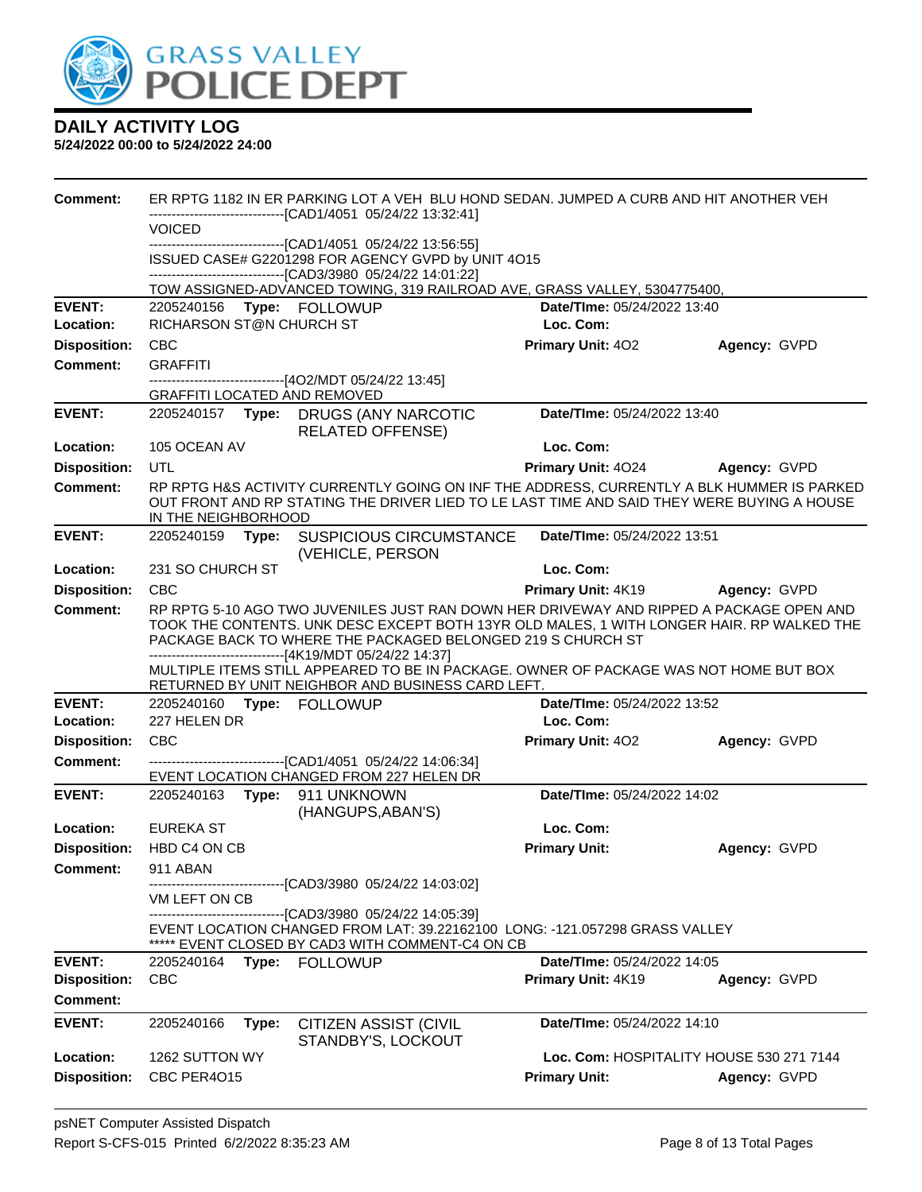

| Comment:                                                |                                        | ER RPTG 1182 IN ER PARKING LOT A VEH BLU HOND SEDAN. JUMPED A CURB AND HIT ANOTHER VEH                                                                                                                                                                                                                                                                                                                   |                                                   |              |
|---------------------------------------------------------|----------------------------------------|----------------------------------------------------------------------------------------------------------------------------------------------------------------------------------------------------------------------------------------------------------------------------------------------------------------------------------------------------------------------------------------------------------|---------------------------------------------------|--------------|
|                                                         | <b>VOICED</b>                          | ------------------------[CAD1/4051_05/24/22 13:32:41]                                                                                                                                                                                                                                                                                                                                                    |                                                   |              |
|                                                         |                                        | -------------------------------[CAD1/4051 05/24/22 13:56:55]<br>ISSUED CASE# G2201298 FOR AGENCY GVPD by UNIT 4O15<br>-------------------------------[CAD3/3980 05/24/22 14:01:22]                                                                                                                                                                                                                       |                                                   |              |
|                                                         |                                        | TOW ASSIGNED-ADVANCED TOWING, 319 RAILROAD AVE, GRASS VALLEY, 5304775400,                                                                                                                                                                                                                                                                                                                                |                                                   |              |
| <b>EVENT:</b><br>Location:                              | 2205240156<br>RICHARSON ST@N CHURCH ST | Type: FOLLOWUP                                                                                                                                                                                                                                                                                                                                                                                           | Date/TIme: 05/24/2022 13:40<br>Loc. Com:          |              |
| <b>Disposition:</b>                                     | <b>CBC</b>                             |                                                                                                                                                                                                                                                                                                                                                                                                          | <b>Primary Unit: 402</b>                          | Agency: GVPD |
| <b>Comment:</b>                                         | <b>GRAFFITI</b>                        |                                                                                                                                                                                                                                                                                                                                                                                                          |                                                   |              |
|                                                         | <b>GRAFFITI LOCATED AND REMOVED</b>    | --------------------------------[4O2/MDT 05/24/22 13:45]                                                                                                                                                                                                                                                                                                                                                 |                                                   |              |
| <b>EVENT:</b>                                           |                                        | 2205240157 Type: DRUGS (ANY NARCOTIC<br><b>RELATED OFFENSE)</b>                                                                                                                                                                                                                                                                                                                                          | Date/TIme: 05/24/2022 13:40                       |              |
| Location:                                               | 105 OCEAN AV                           |                                                                                                                                                                                                                                                                                                                                                                                                          | Loc. Com:                                         |              |
| <b>Disposition:</b>                                     | <b>UTL</b>                             |                                                                                                                                                                                                                                                                                                                                                                                                          | <b>Primary Unit: 4024</b>                         | Agency: GVPD |
| <b>Comment:</b>                                         | IN THE NEIGHBORHOOD                    | RP RPTG H&S ACTIVITY CURRENTLY GOING ON INF THE ADDRESS, CURRENTLY A BLK HUMMER IS PARKED<br>OUT FRONT AND RP STATING THE DRIVER LIED TO LE LAST TIME AND SAID THEY WERE BUYING A HOUSE                                                                                                                                                                                                                  |                                                   |              |
| <b>EVENT:</b>                                           | 2205240159<br>Type:                    | <b>SUSPICIOUS CIRCUMSTANCE</b><br>(VEHICLE, PERSON                                                                                                                                                                                                                                                                                                                                                       | Date/TIme: 05/24/2022 13:51                       |              |
| Location:                                               | 231 SO CHURCH ST                       |                                                                                                                                                                                                                                                                                                                                                                                                          | Loc. Com:                                         |              |
| <b>Disposition:</b>                                     | <b>CBC</b>                             |                                                                                                                                                                                                                                                                                                                                                                                                          | Primary Unit: 4K19                                | Agency: GVPD |
| <b>Comment:</b>                                         |                                        | RP RPTG 5-10 AGO TWO JUVENILES JUST RAN DOWN HER DRIVEWAY AND RIPPED A PACKAGE OPEN AND<br>TOOK THE CONTENTS. UNK DESC EXCEPT BOTH 13YR OLD MALES, 1 WITH LONGER HAIR. RP WALKED THE<br>PACKAGE BACK TO WHERE THE PACKAGED BELONGED 219 S CHURCH ST<br>-------------------------------[4K19/MDT 05/24/22 14:37]<br>MULTIPLE ITEMS STILL APPEARED TO BE IN PACKAGE. OWNER OF PACKAGE WAS NOT HOME BUT BOX |                                                   |              |
| <b>EVENT:</b>                                           | 2205240160 Type: FOLLOWUP              | RETURNED BY UNIT NEIGHBOR AND BUSINESS CARD LEFT.                                                                                                                                                                                                                                                                                                                                                        | Date/TIme: 05/24/2022 13:52                       |              |
| Location:                                               | 227 HELEN DR                           |                                                                                                                                                                                                                                                                                                                                                                                                          | Loc. Com:                                         |              |
| <b>Disposition:</b>                                     | <b>CBC</b>                             |                                                                                                                                                                                                                                                                                                                                                                                                          | <b>Primary Unit: 402</b>                          | Agency: GVPD |
| <b>Comment:</b>                                         |                                        | -------------------------------[CAD1/4051 05/24/22 14:06:34]<br>EVENT LOCATION CHANGED FROM 227 HELEN DR                                                                                                                                                                                                                                                                                                 |                                                   |              |
| <b>EVENT:</b>                                           | 2205240163 Type: 911 UNKNOWN           | (HANGUPS, ABAN'S)                                                                                                                                                                                                                                                                                                                                                                                        | Date/TIme: 05/24/2022 14:02                       |              |
| <b>Location:</b>                                        | EUREKA ST                              |                                                                                                                                                                                                                                                                                                                                                                                                          | Loc. Com:                                         |              |
|                                                         | Disposition: HBD C4 ON CB              |                                                                                                                                                                                                                                                                                                                                                                                                          | <b>Primary Unit:</b>                              | Agency: GVPD |
| <b>Comment:</b>                                         | 911 ABAN                               | ----------------------[CAD3/3980 05/24/22 14:03:02]                                                                                                                                                                                                                                                                                                                                                      |                                                   |              |
|                                                         | VM LEFT ON CB                          | ------------------------[CAD3/3980_05/24/22_14:05:39]                                                                                                                                                                                                                                                                                                                                                    |                                                   |              |
|                                                         |                                        | EVENT LOCATION CHANGED FROM LAT: 39.22162100 LONG: -121.057298 GRASS VALLEY<br>EVENT CLOSED BY CAD3 WITH COMMENT-C4 ON CB                                                                                                                                                                                                                                                                                |                                                   |              |
| <b>EVENT:</b><br><b>Disposition:</b><br><b>Comment:</b> | 2205240164<br><b>CBC</b>               | Type: FOLLOWUP                                                                                                                                                                                                                                                                                                                                                                                           | Date/TIme: 05/24/2022 14:05<br>Primary Unit: 4K19 | Agency: GVPD |
|                                                         |                                        |                                                                                                                                                                                                                                                                                                                                                                                                          |                                                   |              |
| <b>EVENT:</b>                                           | 2205240166<br>Type:                    | <b>CITIZEN ASSIST (CIVIL</b><br>STANDBY'S, LOCKOUT                                                                                                                                                                                                                                                                                                                                                       | Date/Time: 05/24/2022 14:10                       |              |
| Location:                                               | 1262 SUTTON WY                         |                                                                                                                                                                                                                                                                                                                                                                                                          | Loc. Com: HOSPITALITY HOUSE 530 271 7144          |              |
| <b>Disposition:</b>                                     | CBC PER4O15                            |                                                                                                                                                                                                                                                                                                                                                                                                          | <b>Primary Unit:</b>                              | Agency: GVPD |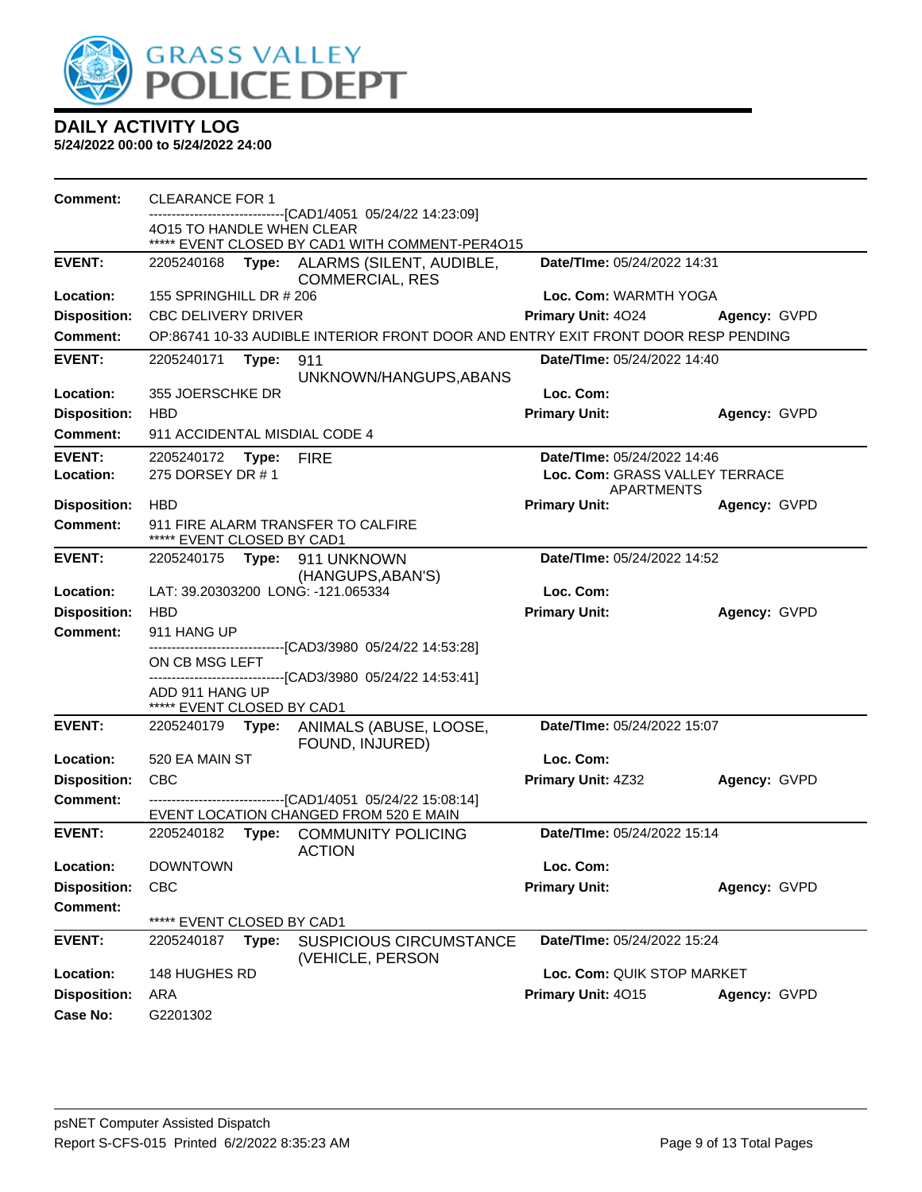

| <b>Comment:</b>     | <b>CLEARANCE FOR 1</b>        |       |                                                                                                        |                                                     |              |
|---------------------|-------------------------------|-------|--------------------------------------------------------------------------------------------------------|-----------------------------------------------------|--------------|
|                     | 4015 TO HANDLE WHEN CLEAR     |       | ------------------------[CAD1/4051_05/24/22 14:23:09]                                                  |                                                     |              |
|                     |                               |       | ***** EVENT CLOSED BY CAD1 WITH COMMENT-PER4O15                                                        |                                                     |              |
| <b>EVENT:</b>       | 2205240168                    |       | Type: ALARMS (SILENT, AUDIBLE,<br><b>COMMERCIAL, RES</b>                                               | Date/TIme: 05/24/2022 14:31                         |              |
| Location:           | 155 SPRINGHILL DR # 206       |       |                                                                                                        | Loc. Com: WARMTH YOGA                               |              |
| <b>Disposition:</b> | <b>CBC DELIVERY DRIVER</b>    |       |                                                                                                        | <b>Primary Unit: 4024</b>                           | Agency: GVPD |
| <b>Comment:</b>     |                               |       | OP:86741 10-33 AUDIBLE INTERIOR FRONT DOOR AND ENTRY EXIT FRONT DOOR RESP PENDING                      |                                                     |              |
| <b>EVENT:</b>       | 2205240171 Type:              |       | 911                                                                                                    | <b>Date/Time: 05/24/2022 14:40</b>                  |              |
|                     |                               |       | UNKNOWN/HANGUPS, ABANS                                                                                 |                                                     |              |
| Location:           | 355 JOERSCHKE DR              |       |                                                                                                        | Loc. Com:                                           |              |
| <b>Disposition:</b> | <b>HBD</b>                    |       |                                                                                                        | <b>Primary Unit:</b>                                | Agency: GVPD |
| <b>Comment:</b>     | 911 ACCIDENTAL MISDIAL CODE 4 |       |                                                                                                        |                                                     |              |
| <b>EVENT:</b>       | 2205240172 Type: FIRE         |       |                                                                                                        | Date/TIme: 05/24/2022 14:46                         |              |
| Location:           | 275 DORSEY DR #1              |       |                                                                                                        | Loc. Com: GRASS VALLEY TERRACE<br><b>APARTMENTS</b> |              |
| <b>Disposition:</b> | <b>HBD</b>                    |       |                                                                                                        | <b>Primary Unit:</b>                                | Agency: GVPD |
| <b>Comment:</b>     | ***** EVENT CLOSED BY CAD1    |       | 911 FIRE ALARM TRANSFER TO CALFIRE                                                                     |                                                     |              |
| <b>EVENT:</b>       |                               |       | 2205240175    Type: 911    UNKNOWN                                                                     | Date/TIme: 05/24/2022 14:52                         |              |
| Location:           |                               |       | (HANGUPS, ABAN'S)<br>LAT: 39.20303200 LONG: -121.065334                                                | Loc. Com:                                           |              |
| <b>Disposition:</b> | <b>HBD</b>                    |       |                                                                                                        | <b>Primary Unit:</b>                                | Agency: GVPD |
| <b>Comment:</b>     | 911 HANG UP                   |       |                                                                                                        |                                                     |              |
|                     |                               |       | -------------------------------[CAD3/3980_05/24/22 14:53:28]                                           |                                                     |              |
|                     | ON CB MSG LEFT                |       |                                                                                                        |                                                     |              |
|                     | ADD 911 HANG UP               |       | -------------------------------[CAD3/3980_05/24/22 14:53:41]                                           |                                                     |              |
|                     | ***** EVENT CLOSED BY CAD1    |       |                                                                                                        |                                                     |              |
| <b>EVENT:</b>       |                               |       | 2205240179 Type: ANIMALS (ABUSE, LOOSE,<br>FOUND, INJURED)                                             | Date/TIme: 05/24/2022 15:07                         |              |
| Location:           | 520 EA MAIN ST                |       |                                                                                                        | Loc. Com:                                           |              |
| <b>Disposition:</b> | <b>CBC</b>                    |       |                                                                                                        | Primary Unit: 4Z32                                  | Agency: GVPD |
| <b>Comment:</b>     |                               |       | -------------------------------[CAD1/4051 05/24/22 15:08:14]<br>EVENT LOCATION CHANGED FROM 520 E MAIN |                                                     |              |
| <b>EVENT:</b>       |                               |       | 2205240182 Type: COMMUNITY POLICING<br><b>ACTION</b>                                                   | Date/TIme: 05/24/2022 15:14                         |              |
| Location:           | <b>DOWNTOWN</b>               |       |                                                                                                        | Loc. Com:                                           |              |
| <b>Disposition:</b> | <b>CBC</b>                    |       |                                                                                                        | <b>Primary Unit:</b>                                | Agency: GVPD |
| <b>Comment:</b>     |                               |       |                                                                                                        |                                                     |              |
|                     | ***** EVENT CLOSED BY CAD1    |       |                                                                                                        |                                                     |              |
| <b>EVENT:</b>       | 2205240187                    | Type: | <b>SUSPICIOUS CIRCUMSTANCE</b><br>(VEHICLE, PERSON                                                     | Date/TIme: 05/24/2022 15:24                         |              |
| Location:           | 148 HUGHES RD                 |       |                                                                                                        | Loc. Com: QUIK STOP MARKET                          |              |
| <b>Disposition:</b> | <b>ARA</b>                    |       |                                                                                                        | Primary Unit: 4015                                  | Agency: GVPD |
| <b>Case No:</b>     | G2201302                      |       |                                                                                                        |                                                     |              |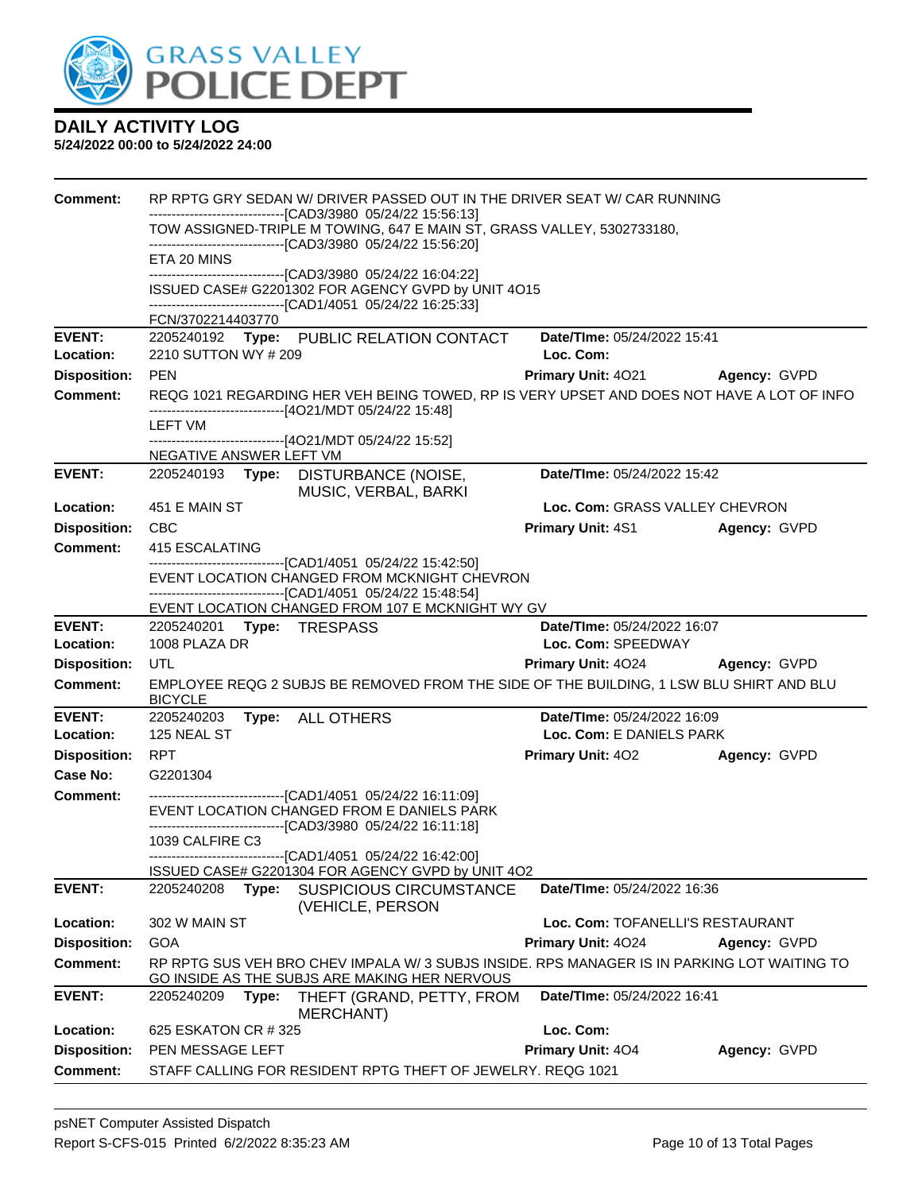

| <b>Comment:</b>            |                                                                                     |                           |                                                                                                                               | RP RPTG GRY SEDAN W/ DRIVER PASSED OUT IN THE DRIVER SEAT W/ CAR RUNNING |                                                                                            |
|----------------------------|-------------------------------------------------------------------------------------|---------------------------|-------------------------------------------------------------------------------------------------------------------------------|--------------------------------------------------------------------------|--------------------------------------------------------------------------------------------|
|                            |                                                                                     |                           | -------------------------------[CAD3/3980_05/24/22 15:56:13]<br>--------------------------------[CAD3/3980 05/24/22 15:56:20] | TOW ASSIGNED-TRIPLE M TOWING, 647 E MAIN ST, GRASS VALLEY, 5302733180,   |                                                                                            |
|                            | ETA 20 MINS                                                                         |                           |                                                                                                                               |                                                                          |                                                                                            |
|                            |                                                                                     |                           | -------------------------------[CAD3/3980 05/24/22 16:04:22]<br>ISSUED CASE# G2201302 FOR AGENCY GVPD by UNIT 4O15            |                                                                          |                                                                                            |
|                            |                                                                                     |                           | -------------------------------[CAD1/4051 05/24/22 16:25:33]                                                                  |                                                                          |                                                                                            |
|                            | FCN/3702214403770                                                                   |                           |                                                                                                                               |                                                                          |                                                                                            |
| <b>EVENT:</b><br>Location: | 2210 SUTTON WY # 209                                                                |                           | 2205240192 Type: PUBLIC RELATION CONTACT                                                                                      | Date/TIme: 05/24/2022 15:41<br>Loc. Com:                                 |                                                                                            |
| <b>Disposition:</b>        | <b>PEN</b>                                                                          |                           |                                                                                                                               | Primary Unit: 4021                                                       | Agency: GVPD                                                                               |
| <b>Comment:</b>            | -------------------------------[4O21/MDT 05/24/22 15:48]                            |                           |                                                                                                                               |                                                                          | REQG 1021 REGARDING HER VEH BEING TOWED, RP IS VERY UPSET AND DOES NOT HAVE A LOT OF INFO  |
|                            | LEFT VM                                                                             |                           |                                                                                                                               |                                                                          |                                                                                            |
|                            | -------------------------------[4O21/MDT 05/24/22 15:52]<br>NEGATIVE ANSWER LEFT VM |                           |                                                                                                                               |                                                                          |                                                                                            |
| <b>EVENT:</b>              |                                                                                     |                           | 2205240193 Type: DISTURBANCE (NOISE,                                                                                          | Date/TIme: 05/24/2022 15:42                                              |                                                                                            |
| Location:                  | 451 E MAIN ST                                                                       |                           | MUSIC, VERBAL, BARKI                                                                                                          | Loc. Com: GRASS VALLEY CHEVRON                                           |                                                                                            |
| <b>Disposition:</b>        | CBC                                                                                 |                           |                                                                                                                               | <b>Primary Unit: 4S1</b>                                                 | Agency: GVPD                                                                               |
| Comment:                   | 415 ESCALATING                                                                      |                           |                                                                                                                               |                                                                          |                                                                                            |
|                            |                                                                                     |                           | ------------------------------[CAD1/4051 05/24/22 15:42:50]                                                                   |                                                                          |                                                                                            |
|                            |                                                                                     |                           | EVENT LOCATION CHANGED FROM MCKNIGHT CHEVRON<br>-------------------------------[CAD1/4051 05/24/22 15:48:54]                  |                                                                          |                                                                                            |
|                            |                                                                                     |                           | EVENT LOCATION CHANGED FROM 107 E MCKNIGHT WY GV                                                                              |                                                                          |                                                                                            |
| <b>EVENT:</b>              | 2205240201 Type: TRESPASS                                                           |                           |                                                                                                                               | Date/TIme: 05/24/2022 16:07                                              |                                                                                            |
| Location:                  | 1008 PLAZA DR                                                                       |                           |                                                                                                                               | Loc. Com: SPEEDWAY                                                       |                                                                                            |
| <b>Disposition:</b>        | <b>UTL</b>                                                                          |                           |                                                                                                                               | Primary Unit: 4024                                                       | Agency: GVPD                                                                               |
| <b>Comment:</b>            | <b>BICYCLE</b>                                                                      |                           |                                                                                                                               |                                                                          | EMPLOYEE REQG 2 SUBJS BE REMOVED FROM THE SIDE OF THE BUILDING, 1 LSW BLU SHIRT AND BLU    |
| <b>EVENT:</b>              | 2205240203                                                                          | Type: ALL OTHERS          |                                                                                                                               | Date/TIme: 05/24/2022 16:09                                              |                                                                                            |
| Location:                  | 125 NEAL ST                                                                         |                           |                                                                                                                               | Loc. Com: E DANIELS PARK                                                 |                                                                                            |
| <b>Disposition:</b>        | <b>RPT</b>                                                                          |                           |                                                                                                                               | <b>Primary Unit: 402</b>                                                 | Agency: GVPD                                                                               |
| Case No:                   | G2201304                                                                            |                           |                                                                                                                               |                                                                          |                                                                                            |
| <b>Comment:</b>            |                                                                                     |                           | --------------------------------[CAD1/4051 05/24/22 16:11:09]<br>EVENT LOCATION CHANGED FROM E DANIELS PARK                   |                                                                          |                                                                                            |
|                            |                                                                                     |                           | -------------------------------[CAD3/3980_05/24/22 16:11:18]                                                                  |                                                                          |                                                                                            |
|                            | 1039 CALFIRE C3                                                                     |                           |                                                                                                                               |                                                                          |                                                                                            |
|                            |                                                                                     |                           | ---------------------------[CAD1/4051_05/24/22 16:42:00]<br>ISSUED CASE# G2201304 FOR AGENCY GVPD by UNIT 4O2                 |                                                                          |                                                                                            |
| <b>EVENT:</b>              | 2205240208                                                                          | Type:                     | <b>SUSPICIOUS CIRCUMSTANCE</b><br>(VEHICLE, PERSON                                                                            | Date/TIme: 05/24/2022 16:36                                              |                                                                                            |
| Location:                  | 302 W MAIN ST                                                                       |                           |                                                                                                                               | Loc. Com: TOFANELLI'S RESTAURANT                                         |                                                                                            |
| <b>Disposition:</b>        | <b>GOA</b>                                                                          |                           |                                                                                                                               | Primary Unit: 4024                                                       | Agency: GVPD                                                                               |
| <b>Comment:</b>            |                                                                                     |                           | GO INSIDE AS THE SUBJS ARE MAKING HER NERVOUS                                                                                 |                                                                          | RP RPTG SUS VEH BRO CHEV IMPALA W/3 SUBJS INSIDE. RPS MANAGER IS IN PARKING LOT WAITING TO |
| <b>EVENT:</b>              | 2205240209                                                                          | Type:<br><b>MERCHANT)</b> | THEFT (GRAND, PETTY, FROM                                                                                                     | Date/TIme: 05/24/2022 16:41                                              |                                                                                            |
| Location:                  | 625 ESKATON CR # 325                                                                |                           |                                                                                                                               | Loc. Com:                                                                |                                                                                            |
| <b>Disposition:</b>        | PEN MESSAGE LEFT                                                                    |                           |                                                                                                                               | Primary Unit: 404                                                        | Agency: GVPD                                                                               |
| <b>Comment:</b>            |                                                                                     |                           | STAFF CALLING FOR RESIDENT RPTG THEFT OF JEWELRY. REQG 1021                                                                   |                                                                          |                                                                                            |
|                            |                                                                                     |                           |                                                                                                                               |                                                                          |                                                                                            |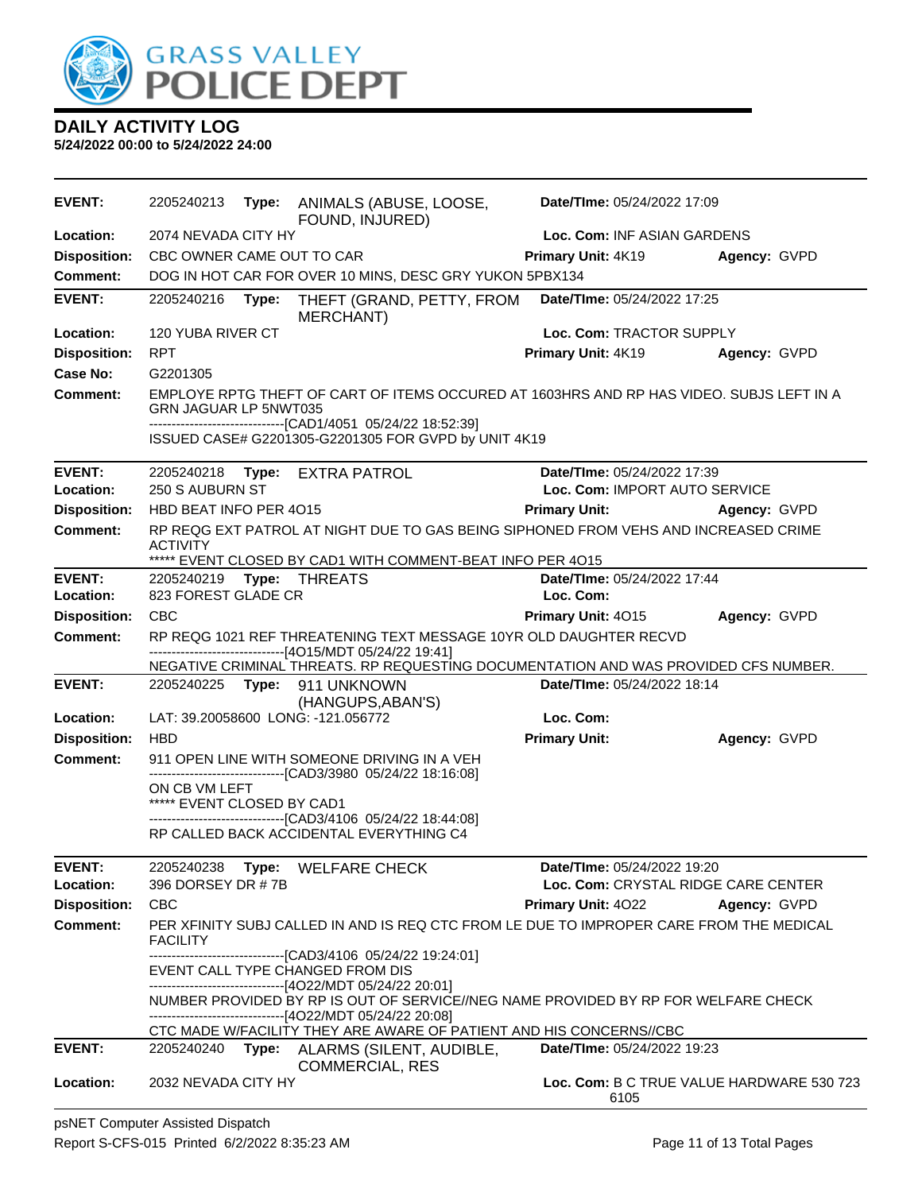

| <b>EVENT:</b>       | 2205240213                 |       | Type: ANIMALS (ABUSE, LOOSE,<br>FOUND, INJURED)                                                                                                                                                                  | Date/TIme: 05/24/2022 17:09               |              |
|---------------------|----------------------------|-------|------------------------------------------------------------------------------------------------------------------------------------------------------------------------------------------------------------------|-------------------------------------------|--------------|
| Location:           | 2074 NEVADA CITY HY        |       |                                                                                                                                                                                                                  | Loc. Com: INF ASIAN GARDENS               |              |
| <b>Disposition:</b> | CBC OWNER CAME OUT TO CAR  |       |                                                                                                                                                                                                                  | <b>Primary Unit: 4K19</b>                 | Agency: GVPD |
| Comment:            |                            |       | DOG IN HOT CAR FOR OVER 10 MINS, DESC GRY YUKON 5PBX134                                                                                                                                                          |                                           |              |
| <b>EVENT:</b>       | 2205240216                 | Type: | THEFT (GRAND, PETTY, FROM<br><b>MERCHANT)</b>                                                                                                                                                                    | Date/TIme: 05/24/2022 17:25               |              |
| Location:           | 120 YUBA RIVER CT          |       |                                                                                                                                                                                                                  | Loc. Com: TRACTOR SUPPLY                  |              |
| <b>Disposition:</b> | <b>RPT</b>                 |       |                                                                                                                                                                                                                  | Primary Unit: 4K19                        | Agency: GVPD |
| Case No:            | G2201305                   |       |                                                                                                                                                                                                                  |                                           |              |
| <b>Comment:</b>     | GRN JAGUAR LP 5NWT035      |       | EMPLOYE RPTG THEFT OF CART OF ITEMS OCCURED AT 1603HRS AND RP HAS VIDEO. SUBJS LEFT IN A<br>-------------------------------[CAD1/4051 05/24/22 18:52:39]<br>ISSUED CASE# G2201305-G2201305 FOR GVPD by UNIT 4K19 |                                           |              |
| <b>EVENT:</b>       |                            |       | 2205240218 Type: EXTRA PATROL                                                                                                                                                                                    | Date/TIme: 05/24/2022 17:39               |              |
| Location:           | 250 S AUBURN ST            |       |                                                                                                                                                                                                                  | Loc. Com: IMPORT AUTO SERVICE             |              |
| <b>Disposition:</b> | HBD BEAT INFO PER 4015     |       |                                                                                                                                                                                                                  | <b>Primary Unit:</b>                      | Agency: GVPD |
| Comment:            | ACTIVITY                   |       | RP REQG EXT PATROL AT NIGHT DUE TO GAS BEING SIPHONED FROM VEHS AND INCREASED CRIME<br>***** EVENT CLOSED BY CAD1 WITH COMMENT-BEAT INFO PER 4015                                                                |                                           |              |
| <b>EVENT:</b>       |                            |       |                                                                                                                                                                                                                  | Date/TIme: 05/24/2022 17:44               |              |
| Location:           | 823 FOREST GLADE CR        |       |                                                                                                                                                                                                                  | Loc. Com:                                 |              |
| <b>Disposition:</b> | <b>CBC</b>                 |       |                                                                                                                                                                                                                  | Primary Unit: 4015                        | Agency: GVPD |
| <b>Comment:</b>     |                            |       | RP REQG 1021 REF THREATENING TEXT MESSAGE 10YR OLD DAUGHTER RECVD                                                                                                                                                |                                           |              |
|                     |                            |       | ------------------------------[4O15/MDT 05/24/22 19:41]<br>NEGATIVE CRIMINAL THREATS. RP REQUESTING DOCUMENTATION AND WAS PROVIDED CFS NUMBER.                                                                   |                                           |              |
| <b>EVENT:</b>       | 2205240225 Type:           |       | 911 UNKNOWN                                                                                                                                                                                                      | Date/TIme: 05/24/2022 18:14               |              |
|                     |                            |       | (HANGUPS, ABAN'S)                                                                                                                                                                                                |                                           |              |
| Location:           |                            |       | LAT: 39.20058600 LONG: -121.056772                                                                                                                                                                               | Loc. Com:                                 |              |
| <b>Disposition:</b> | <b>HBD</b>                 |       |                                                                                                                                                                                                                  | <b>Primary Unit:</b>                      | Agency: GVPD |
| <b>Comment:</b>     |                            |       | 911 OPEN LINE WITH SOMEONE DRIVING IN A VEH<br>--------------------------------[CAD3/3980 05/24/22 18:16:08]                                                                                                     |                                           |              |
|                     | ON CB VM LEFT              |       |                                                                                                                                                                                                                  |                                           |              |
|                     | ***** EVENT CLOSED BY CAD1 |       |                                                                                                                                                                                                                  |                                           |              |
|                     |                            |       | -------------------------------[CAD3/4106 05/24/22 18:44:08]<br>RP CALLED BACK ACCIDENTAL EVERYTHING C4                                                                                                          |                                           |              |
|                     |                            |       |                                                                                                                                                                                                                  |                                           |              |
| <b>EVENT:</b>       |                            |       | 2205240238 Type: WELFARE CHECK                                                                                                                                                                                   | Date/TIme: 05/24/2022 19:20               |              |
| Location:           | 396 DORSEY DR #7B          |       |                                                                                                                                                                                                                  | Loc. Com: CRYSTAL RIDGE CARE CENTER       |              |
| <b>Disposition:</b> | <b>CBC</b>                 |       |                                                                                                                                                                                                                  | <b>Primary Unit: 4022</b>                 | Agency: GVPD |
| <b>Comment:</b>     | <b>FACILITY</b>            |       | PER XFINITY SUBJ CALLED IN AND IS REQ CTC FROM LE DUE TO IMPROPER CARE FROM THE MEDICAL<br>-------------------------------[CAD3/4106 05/24/22 19:24:01]                                                          |                                           |              |
|                     |                            |       | EVENT CALL TYPE CHANGED FROM DIS                                                                                                                                                                                 |                                           |              |
|                     |                            |       | ------------------------------[4O22/MDT 05/24/22 20:01]                                                                                                                                                          |                                           |              |
|                     |                            |       | NUMBER PROVIDED BY RP IS OUT OF SERVICE//NEG NAME PROVIDED BY RP FOR WELFARE CHECK<br>-------------------------------[4O22/MDT 05/24/22 20:08]                                                                   |                                           |              |
|                     |                            |       | CTC MADE W/FACILITY THEY ARE AWARE OF PATIENT AND HIS CONCERNS//CBC                                                                                                                                              |                                           |              |
| <b>EVENT:</b>       | 2205240240                 |       | Type: ALARMS (SILENT, AUDIBLE,                                                                                                                                                                                   | Date/TIme: 05/24/2022 19:23               |              |
| Location:           | 2032 NEVADA CITY HY        |       | <b>COMMERCIAL, RES</b>                                                                                                                                                                                           | Loc. Com: B C TRUE VALUE HARDWARE 530 723 |              |
|                     |                            |       |                                                                                                                                                                                                                  | 6105                                      |              |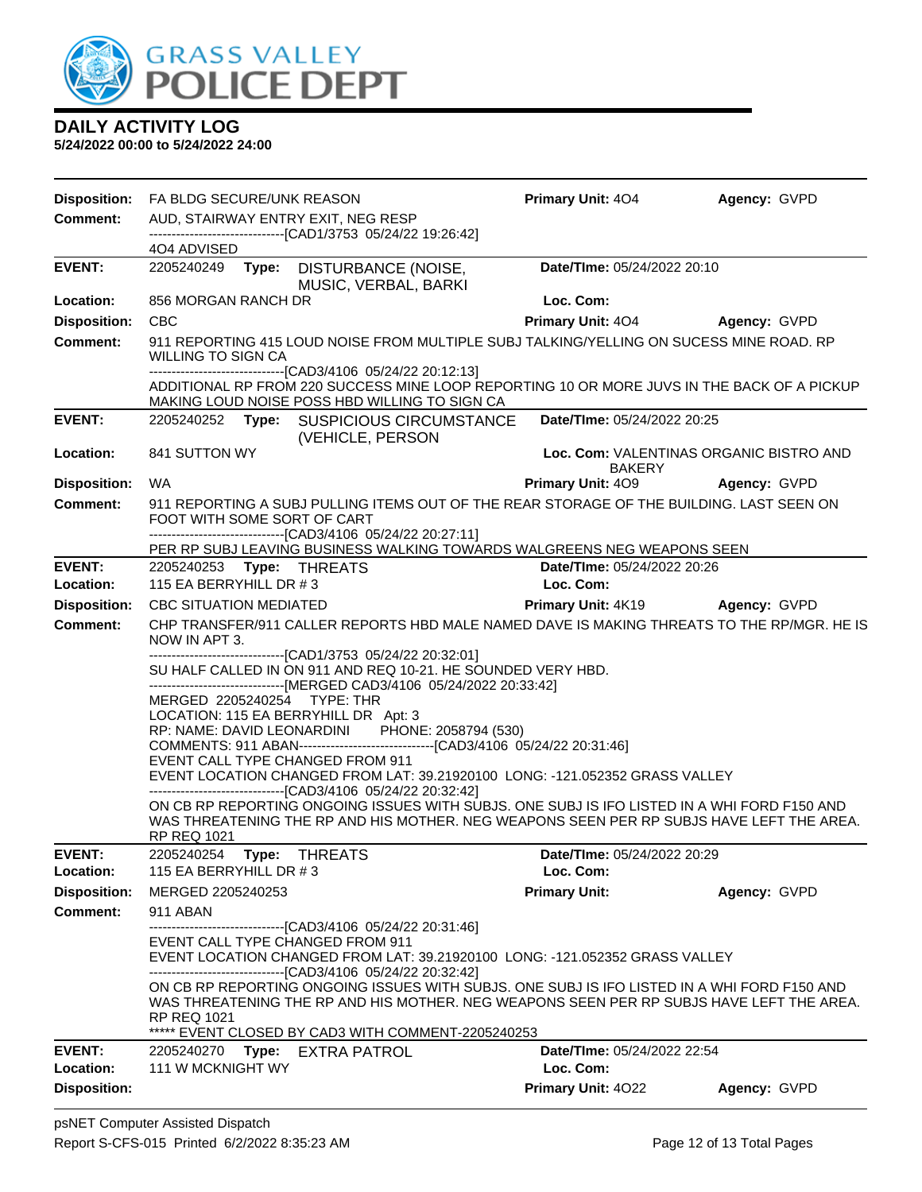

| <b>Disposition:</b> | FA BLDG SECURE/UNK REASON                                                                         |                                                                                                                                                                                                                                                 | <b>Primary Unit: 404</b>    | Agency: GVPD                            |  |  |  |  |
|---------------------|---------------------------------------------------------------------------------------------------|-------------------------------------------------------------------------------------------------------------------------------------------------------------------------------------------------------------------------------------------------|-----------------------------|-----------------------------------------|--|--|--|--|
| Comment:            | AUD, STAIRWAY ENTRY EXIT, NEG RESP<br>------------------------------[CAD1/3753 05/24/22 19:26:42] |                                                                                                                                                                                                                                                 |                             |                                         |  |  |  |  |
|                     | 404 ADVISED                                                                                       |                                                                                                                                                                                                                                                 |                             |                                         |  |  |  |  |
| <b>EVENT:</b>       |                                                                                                   | 2205240249 Type: DISTURBANCE (NOISE,<br>MUSIC, VERBAL, BARKI                                                                                                                                                                                    | Date/TIme: 05/24/2022 20:10 |                                         |  |  |  |  |
| Location:           | 856 MORGAN RANCH DR                                                                               |                                                                                                                                                                                                                                                 | Loc. Com:                   |                                         |  |  |  |  |
| <b>Disposition:</b> | <b>CBC</b>                                                                                        |                                                                                                                                                                                                                                                 | <b>Primary Unit: 404</b>    | <b>Agency: GVPD</b>                     |  |  |  |  |
| <b>Comment:</b>     | <b>WILLING TO SIGN CA</b>                                                                         | 911 REPORTING 415 LOUD NOISE FROM MULTIPLE SUBJ TALKING/YELLING ON SUCESS MINE ROAD. RP<br>------------------------------[CAD3/4106 05/24/22 20:12:13]                                                                                          |                             |                                         |  |  |  |  |
|                     |                                                                                                   | ADDITIONAL RP FROM 220 SUCCESS MINE LOOP REPORTING 10 OR MORE JUVS IN THE BACK OF A PICKUP<br>MAKING LOUD NOISE POSS HBD WILLING TO SIGN CA                                                                                                     |                             |                                         |  |  |  |  |
| <b>EVENT:</b>       |                                                                                                   | 2205240252 Type: SUSPICIOUS CIRCUMSTANCE<br>(VEHICLE, PERSON                                                                                                                                                                                    | Date/TIme: 05/24/2022 20:25 |                                         |  |  |  |  |
| <b>Location:</b>    | 841 SUTTON WY                                                                                     |                                                                                                                                                                                                                                                 | <b>BAKERY</b>               | Loc. Com: VALENTINAS ORGANIC BISTRO AND |  |  |  |  |
| <b>Disposition:</b> | <b>WA</b>                                                                                         |                                                                                                                                                                                                                                                 | Primary Unit: 409           | Agency: GVPD                            |  |  |  |  |
| <b>Comment:</b>     | FOOT WITH SOME SORT OF CART                                                                       | 911 REPORTING A SUBJ PULLING ITEMS OUT OF THE REAR STORAGE OF THE BUILDING. LAST SEEN ON<br>-------------------------------[CAD3/4106 05/24/22 20:27:11]                                                                                        |                             |                                         |  |  |  |  |
|                     |                                                                                                   | PER RP SUBJ LEAVING BUSINESS WALKING TOWARDS WALGREENS NEG WEAPONS SEEN                                                                                                                                                                         |                             |                                         |  |  |  |  |
| <b>EVENT:</b>       | 2205240253 Type: THREATS                                                                          |                                                                                                                                                                                                                                                 | Date/TIme: 05/24/2022 20:26 |                                         |  |  |  |  |
| Location:           | 115 EA BERRYHILL DR #3                                                                            |                                                                                                                                                                                                                                                 | Loc. Com:                   |                                         |  |  |  |  |
| <b>Disposition:</b> | <b>CBC SITUATION MEDIATED</b>                                                                     |                                                                                                                                                                                                                                                 | <b>Primary Unit: 4K19</b>   | Agency: GVPD                            |  |  |  |  |
| Comment:            | NOW IN APT 3.                                                                                     | CHP TRANSFER/911 CALLER REPORTS HBD MALE NAMED DAVE IS MAKING THREATS TO THE RP/MGR. HE IS<br>-------------------------------[CAD1/3753 05/24/22 20:32:01]                                                                                      |                             |                                         |  |  |  |  |
|                     |                                                                                                   | SU HALF CALLED IN ON 911 AND REQ 10-21. HE SOUNDED VERY HBD.<br>-------------------------------[MERGED CAD3/4106 05/24/2022 20:33:42]                                                                                                           |                             |                                         |  |  |  |  |
|                     | MERGED 2205240254 TYPE: THR<br>LOCATION: 115 EA BERRYHILL DR Apt: 3                               |                                                                                                                                                                                                                                                 |                             |                                         |  |  |  |  |
|                     | RP: NAME: DAVID LEONARDINI                                                                        | PHONE: 2058794 (530)                                                                                                                                                                                                                            |                             |                                         |  |  |  |  |
|                     |                                                                                                   | COMMENTS: 911 ABAN--------------------------------[CAD3/4106 05/24/22 20:31:46]                                                                                                                                                                 |                             |                                         |  |  |  |  |
|                     | EVENT CALL TYPE CHANGED FROM 911                                                                  |                                                                                                                                                                                                                                                 |                             |                                         |  |  |  |  |
|                     |                                                                                                   | EVENT LOCATION CHANGED FROM LAT: 39.21920100 LONG: -121.052352 GRASS VALLEY<br>------------------------------[CAD3/4106 05/24/22 20:32:42]                                                                                                      |                             |                                         |  |  |  |  |
|                     | <b>RP REQ 1021</b>                                                                                | ON CB RP REPORTING ONGOING ISSUES WITH SUBJS. ONE SUBJ IS IFO LISTED IN A WHI FORD F150 AND<br>WAS THREATENING THE RP AND HIS MOTHER. NEG WEAPONS SEEN PER RP SUBJS HAVE LEFT THE AREA.                                                         |                             |                                         |  |  |  |  |
| <b>EVENT:</b>       | 2205240254<br>Type:                                                                               | <b>THREATS</b>                                                                                                                                                                                                                                  | Date/TIme: 05/24/2022 20:29 |                                         |  |  |  |  |
| Location:           | 115 EA BERRYHILL DR #3                                                                            |                                                                                                                                                                                                                                                 | Loc. Com:                   |                                         |  |  |  |  |
| <b>Disposition:</b> | MERGED 2205240253                                                                                 |                                                                                                                                                                                                                                                 | <b>Primary Unit:</b>        | Agency: GVPD                            |  |  |  |  |
| <b>Comment:</b>     | 911 ABAN                                                                                          |                                                                                                                                                                                                                                                 |                             |                                         |  |  |  |  |
|                     |                                                                                                   | -------------------------------[CAD3/4106 05/24/22 20:31:46]<br>EVENT CALL TYPE CHANGED FROM 911<br>EVENT LOCATION CHANGED FROM LAT: 39.21920100 LONG: -121.052352 GRASS VALLEY<br>-------------------------------[CAD3/4106 05/24/22 20:32:42] |                             |                                         |  |  |  |  |
|                     | <b>RP REQ 1021</b>                                                                                | ON CB RP REPORTING ONGOING ISSUES WITH SUBJS. ONE SUBJ IS IFO LISTED IN A WHI FORD F150 AND<br>WAS THREATENING THE RP AND HIS MOTHER. NEG WEAPONS SEEN PER RP SUBJS HAVE LEFT THE AREA.<br>***** EVENT CLOSED BY CAD3 WITH COMMENT-2205240253   |                             |                                         |  |  |  |  |
| <b>EVENT:</b>       | 2205240270 Type:                                                                                  | EXTRA PATROL                                                                                                                                                                                                                                    | Date/TIme: 05/24/2022 22:54 |                                         |  |  |  |  |
| Location:           | 111 W MCKNIGHT WY                                                                                 |                                                                                                                                                                                                                                                 | Loc. Com:                   |                                         |  |  |  |  |
| <b>Disposition:</b> |                                                                                                   |                                                                                                                                                                                                                                                 | Primary Unit: 4022          | Agency: GVPD                            |  |  |  |  |